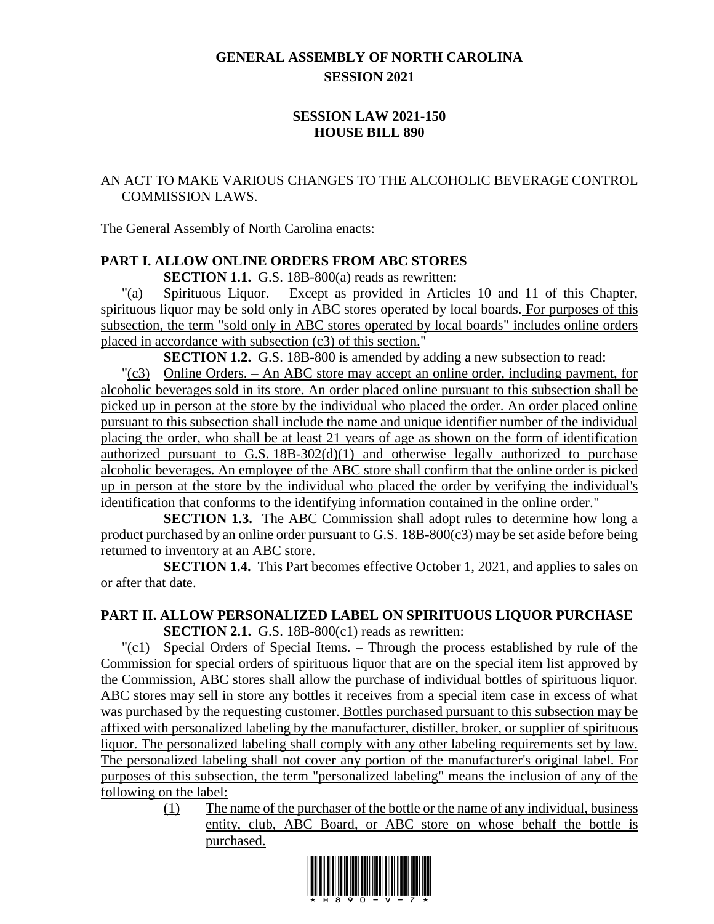# **GENERAL ASSEMBLY OF NORTH CAROLINA SESSION 2021**

# **SESSION LAW 2021-150 HOUSE BILL 890**

# AN ACT TO MAKE VARIOUS CHANGES TO THE ALCOHOLIC BEVERAGE CONTROL COMMISSION LAWS.

The General Assembly of North Carolina enacts:

# **PART I. ALLOW ONLINE ORDERS FROM ABC STORES**

**SECTION 1.1.** G.S. 18B-800(a) reads as rewritten:

"(a) Spirituous Liquor. – Except as provided in Articles 10 and 11 of this Chapter, spirituous liquor may be sold only in ABC stores operated by local boards. For purposes of this subsection, the term "sold only in ABC stores operated by local boards" includes online orders placed in accordance with subsection (c3) of this section."

**SECTION 1.2.** G.S. 18B-800 is amended by adding a new subsection to read:

"(c3) Online Orders. – An ABC store may accept an online order, including payment, for alcoholic beverages sold in its store. An order placed online pursuant to this subsection shall be picked up in person at the store by the individual who placed the order. An order placed online pursuant to this subsection shall include the name and unique identifier number of the individual placing the order, who shall be at least 21 years of age as shown on the form of identification authorized pursuant to G.S. 18B-302(d)(1) and otherwise legally authorized to purchase alcoholic beverages. An employee of the ABC store shall confirm that the online order is picked up in person at the store by the individual who placed the order by verifying the individual's identification that conforms to the identifying information contained in the online order."

**SECTION 1.3.** The ABC Commission shall adopt rules to determine how long a product purchased by an online order pursuant to G.S. 18B-800(c3) may be set aside before being returned to inventory at an ABC store.

**SECTION 1.4.** This Part becomes effective October 1, 2021, and applies to sales on or after that date.

#### **PART II. ALLOW PERSONALIZED LABEL ON SPIRITUOUS LIQUOR PURCHASE SECTION 2.1.** G.S. 18B-800(c1) reads as rewritten:

"(c1) Special Orders of Special Items. – Through the process established by rule of the Commission for special orders of spirituous liquor that are on the special item list approved by the Commission, ABC stores shall allow the purchase of individual bottles of spirituous liquor. ABC stores may sell in store any bottles it receives from a special item case in excess of what was purchased by the requesting customer. Bottles purchased pursuant to this subsection may be affixed with personalized labeling by the manufacturer, distiller, broker, or supplier of spirituous liquor. The personalized labeling shall comply with any other labeling requirements set by law. The personalized labeling shall not cover any portion of the manufacturer's original label. For purposes of this subsection, the term "personalized labeling" means the inclusion of any of the following on the label:

> (1) The name of the purchaser of the bottle or the name of any individual, business entity, club, ABC Board, or ABC store on whose behalf the bottle is purchased.

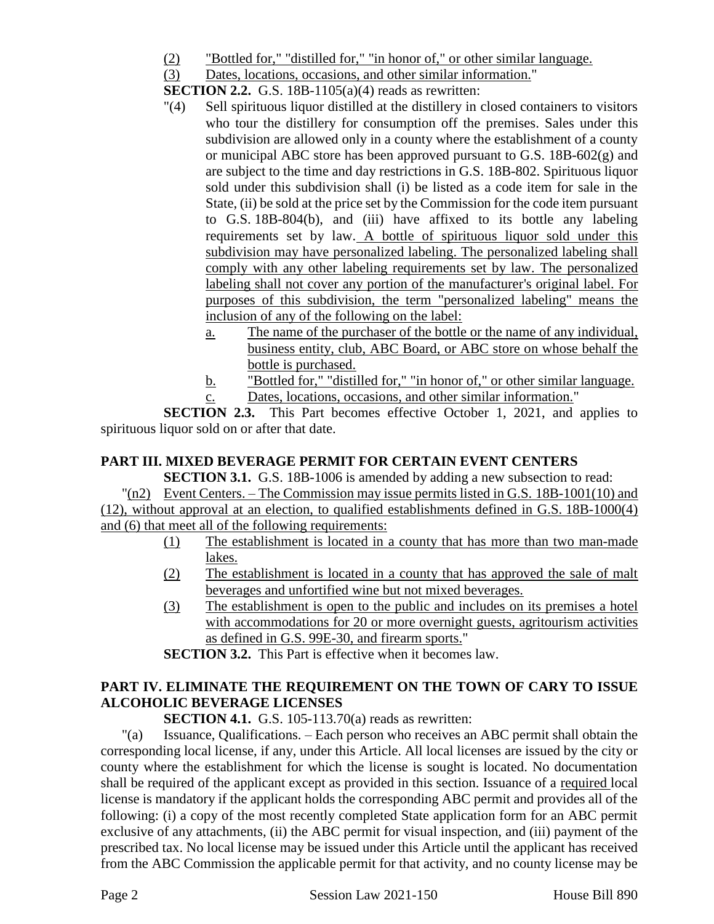(2) "Bottled for," "distilled for," "in honor of," or other similar language.

(3) Dates, locations, occasions, and other similar information."

**SECTION 2.2.** G.S. 18B-1105(a)(4) reads as rewritten:

- "(4) Sell spirituous liquor distilled at the distillery in closed containers to visitors who tour the distillery for consumption off the premises. Sales under this subdivision are allowed only in a county where the establishment of a county or municipal ABC store has been approved pursuant to G.S. 18B-602(g) and are subject to the time and day restrictions in G.S. 18B-802. Spirituous liquor sold under this subdivision shall (i) be listed as a code item for sale in the State, (ii) be sold at the price set by the Commission for the code item pursuant to G.S. 18B-804(b), and (iii) have affixed to its bottle any labeling requirements set by law. A bottle of spirituous liquor sold under this subdivision may have personalized labeling. The personalized labeling shall comply with any other labeling requirements set by law. The personalized labeling shall not cover any portion of the manufacturer's original label. For purposes of this subdivision, the term "personalized labeling" means the inclusion of any of the following on the label:
	- a. The name of the purchaser of the bottle or the name of any individual, business entity, club, ABC Board, or ABC store on whose behalf the bottle is purchased.
	- b. "Bottled for," "distilled for," "in honor of," or other similar language.
	- c. Dates, locations, occasions, and other similar information."

**SECTION 2.3.** This Part becomes effective October 1, 2021, and applies to spirituous liquor sold on or after that date.

# **PART III. MIXED BEVERAGE PERMIT FOR CERTAIN EVENT CENTERS**

**SECTION 3.1.** G.S. 18B-1006 is amended by adding a new subsection to read:  $\lceil n/2 \rceil$  Event Centers. – The Commission may issue permits listed in G.S. 18B-1001(10) and (12), without approval at an election, to qualified establishments defined in G.S. 18B-1000(4) and (6) that meet all of the following requirements:

- (1) The establishment is located in a county that has more than two man-made lakes.
- (2) The establishment is located in a county that has approved the sale of malt beverages and unfortified wine but not mixed beverages.
- (3) The establishment is open to the public and includes on its premises a hotel with accommodations for 20 or more overnight guests, agritourism activities as defined in G.S. 99E-30, and firearm sports."

**SECTION 3.2.** This Part is effective when it becomes law.

# **PART IV. ELIMINATE THE REQUIREMENT ON THE TOWN OF CARY TO ISSUE ALCOHOLIC BEVERAGE LICENSES**

**SECTION 4.1.** G.S. 105-113.70(a) reads as rewritten:

"(a) Issuance, Qualifications. – Each person who receives an ABC permit shall obtain the corresponding local license, if any, under this Article. All local licenses are issued by the city or county where the establishment for which the license is sought is located. No documentation shall be required of the applicant except as provided in this section. Issuance of a required local license is mandatory if the applicant holds the corresponding ABC permit and provides all of the following: (i) a copy of the most recently completed State application form for an ABC permit exclusive of any attachments, (ii) the ABC permit for visual inspection, and (iii) payment of the prescribed tax. No local license may be issued under this Article until the applicant has received from the ABC Commission the applicable permit for that activity, and no county license may be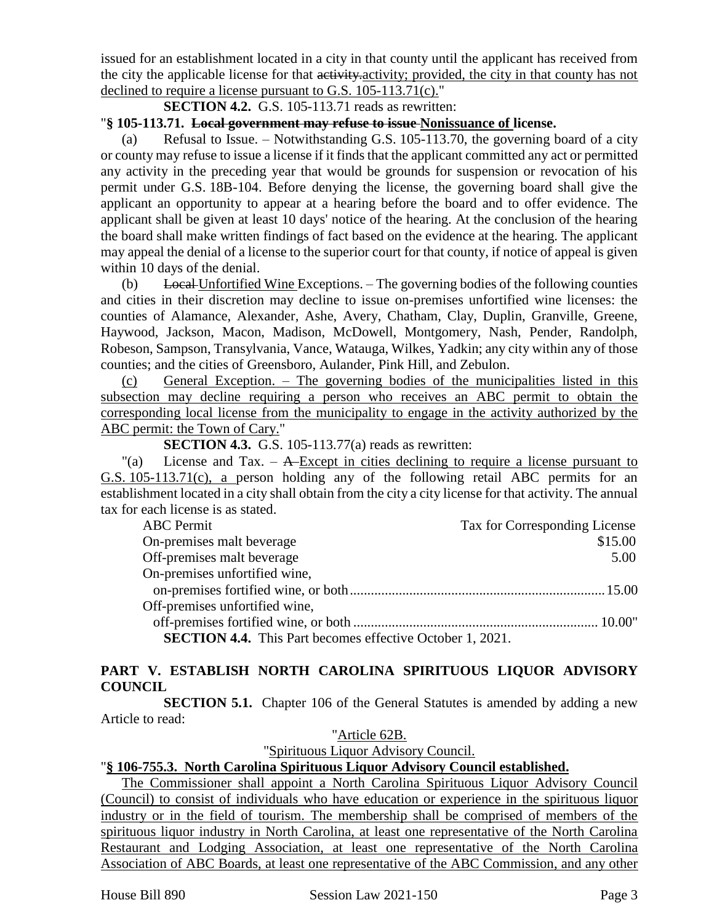issued for an establishment located in a city in that county until the applicant has received from the city the applicable license for that activity, activity; provided, the city in that county has not declined to require a license pursuant to G.S. 105-113.71(c)."

**SECTION 4.2.** G.S. 105-113.71 reads as rewritten:

#### "**§ 105-113.71. Local government may refuse to issue Nonissuance of license.**

(a) Refusal to Issue. – Notwithstanding G.S. 105-113.70, the governing board of a city or county may refuse to issue a license if it finds that the applicant committed any act or permitted any activity in the preceding year that would be grounds for suspension or revocation of his permit under G.S. 18B-104. Before denying the license, the governing board shall give the applicant an opportunity to appear at a hearing before the board and to offer evidence. The applicant shall be given at least 10 days' notice of the hearing. At the conclusion of the hearing the board shall make written findings of fact based on the evidence at the hearing. The applicant may appeal the denial of a license to the superior court for that county, if notice of appeal is given within 10 days of the denial.

(b) Local Unfortified Wine Exceptions.  $-$  The governing bodies of the following counties and cities in their discretion may decline to issue on-premises unfortified wine licenses: the counties of Alamance, Alexander, Ashe, Avery, Chatham, Clay, Duplin, Granville, Greene, Haywood, Jackson, Macon, Madison, McDowell, Montgomery, Nash, Pender, Randolph, Robeson, Sampson, Transylvania, Vance, Watauga, Wilkes, Yadkin; any city within any of those counties; and the cities of Greensboro, Aulander, Pink Hill, and Zebulon.

(c) General Exception. – The governing bodies of the municipalities listed in this subsection may decline requiring a person who receives an ABC permit to obtain the corresponding local license from the municipality to engage in the activity authorized by the ABC permit: the Town of Cary."

**SECTION 4.3.** G.S. 105-113.77(a) reads as rewritten:

 $\alpha$  License and Tax. – A-Except in cities declining to require a license pursuant to G.S. 105-113.71(c), a person holding any of the following retail ABC permits for an establishment located in a city shall obtain from the city a city license for that activity. The annual tax for each license is as stated.

| <b>ABC</b> Permit                                                | Tax for Corresponding License |
|------------------------------------------------------------------|-------------------------------|
| On-premises malt beverage                                        | \$15.00                       |
| Off-premises malt beverage                                       | 5.00                          |
| On-premises unfortified wine,                                    |                               |
|                                                                  |                               |
| Off-premises unfortified wine,                                   |                               |
|                                                                  |                               |
| <b>SECTION 4.4.</b> This Part becomes effective October 1, 2021. |                               |

# **PART V. ESTABLISH NORTH CAROLINA SPIRITUOUS LIQUOR ADVISORY COUNCIL**

**SECTION 5.1.** Chapter 106 of the General Statutes is amended by adding a new Article to read:

#### "Article 62B.

"Spirituous Liquor Advisory Council.

# "**§ 106-755.3. North Carolina Spirituous Liquor Advisory Council established.**

The Commissioner shall appoint a North Carolina Spirituous Liquor Advisory Council (Council) to consist of individuals who have education or experience in the spirituous liquor industry or in the field of tourism. The membership shall be comprised of members of the spirituous liquor industry in North Carolina, at least one representative of the North Carolina Restaurant and Lodging Association, at least one representative of the North Carolina Association of ABC Boards, at least one representative of the ABC Commission, and any other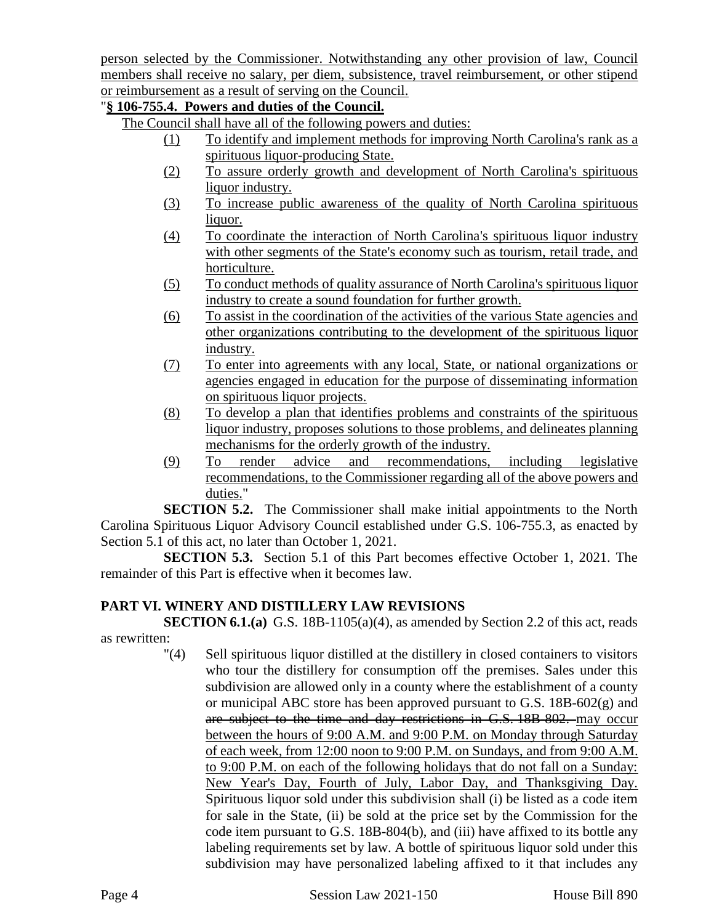person selected by the Commissioner. Notwithstanding any other provision of law, Council members shall receive no salary, per diem, subsistence, travel reimbursement, or other stipend or reimbursement as a result of serving on the Council.

# "**§ 106-755.4. Powers and duties of the Council.**

The Council shall have all of the following powers and duties:

- (1) To identify and implement methods for improving North Carolina's rank as a spirituous liquor-producing State.
- (2) To assure orderly growth and development of North Carolina's spirituous liquor industry.
- (3) To increase public awareness of the quality of North Carolina spirituous liquor.
- (4) To coordinate the interaction of North Carolina's spirituous liquor industry with other segments of the State's economy such as tourism, retail trade, and horticulture.
- (5) To conduct methods of quality assurance of North Carolina's spirituous liquor industry to create a sound foundation for further growth.
- (6) To assist in the coordination of the activities of the various State agencies and other organizations contributing to the development of the spirituous liquor industry.
- (7) To enter into agreements with any local, State, or national organizations or agencies engaged in education for the purpose of disseminating information on spirituous liquor projects.
- (8) To develop a plan that identifies problems and constraints of the spirituous liquor industry, proposes solutions to those problems, and delineates planning mechanisms for the orderly growth of the industry.
- (9) To render advice and recommendations, including legislative recommendations, to the Commissioner regarding all of the above powers and duties."

**SECTION 5.2.** The Commissioner shall make initial appointments to the North Carolina Spirituous Liquor Advisory Council established under G.S. 106-755.3, as enacted by Section 5.1 of this act, no later than October 1, 2021.

**SECTION 5.3.** Section 5.1 of this Part becomes effective October 1, 2021. The remainder of this Part is effective when it becomes law.

# **PART VI. WINERY AND DISTILLERY LAW REVISIONS**

**SECTION 6.1.(a)** G.S. 18B-1105(a)(4), as amended by Section 2.2 of this act, reads as rewritten:

"(4) Sell spirituous liquor distilled at the distillery in closed containers to visitors who tour the distillery for consumption off the premises. Sales under this subdivision are allowed only in a county where the establishment of a county or municipal ABC store has been approved pursuant to G.S. 18B-602(g) and are subject to the time and day restrictions in G.S. 18B-802. may occur between the hours of 9:00 A.M. and 9:00 P.M. on Monday through Saturday of each week, from 12:00 noon to 9:00 P.M. on Sundays, and from 9:00 A.M. to 9:00 P.M. on each of the following holidays that do not fall on a Sunday: New Year's Day, Fourth of July, Labor Day, and Thanksgiving Day. Spirituous liquor sold under this subdivision shall (i) be listed as a code item for sale in the State, (ii) be sold at the price set by the Commission for the code item pursuant to G.S. 18B-804(b), and (iii) have affixed to its bottle any labeling requirements set by law. A bottle of spirituous liquor sold under this subdivision may have personalized labeling affixed to it that includes any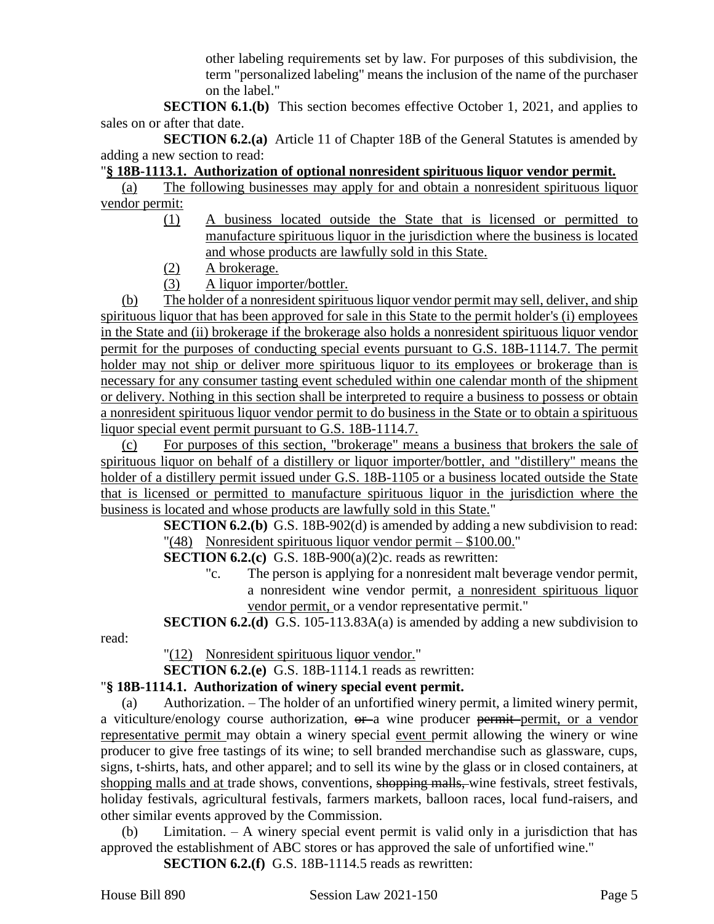other labeling requirements set by law. For purposes of this subdivision, the term "personalized labeling" means the inclusion of the name of the purchaser on the label."

**SECTION 6.1.(b)** This section becomes effective October 1, 2021, and applies to sales on or after that date.

**SECTION 6.2.(a)** Article 11 of Chapter 18B of the General Statutes is amended by adding a new section to read:

# "**§ 18B-1113.1. Authorization of optional nonresident spirituous liquor vendor permit.**

(a) The following businesses may apply for and obtain a nonresident spirituous liquor vendor permit:

- (1) A business located outside the State that is licensed or permitted to manufacture spirituous liquor in the jurisdiction where the business is located and whose products are lawfully sold in this State.
- (2) A brokerage.
- (3) A liquor importer/bottler.

(b) The holder of a nonresident spirituous liquor vendor permit may sell, deliver, and ship spirituous liquor that has been approved for sale in this State to the permit holder's (i) employees in the State and (ii) brokerage if the brokerage also holds a nonresident spirituous liquor vendor permit for the purposes of conducting special events pursuant to G.S. 18B-1114.7. The permit holder may not ship or deliver more spirituous liquor to its employees or brokerage than is necessary for any consumer tasting event scheduled within one calendar month of the shipment or delivery. Nothing in this section shall be interpreted to require a business to possess or obtain a nonresident spirituous liquor vendor permit to do business in the State or to obtain a spirituous liquor special event permit pursuant to G.S. 18B-1114.7.

(c) For purposes of this section, "brokerage" means a business that brokers the sale of spirituous liquor on behalf of a distillery or liquor importer/bottler, and "distillery" means the holder of a distillery permit issued under G.S. 18B-1105 or a business located outside the State that is licensed or permitted to manufacture spirituous liquor in the jurisdiction where the business is located and whose products are lawfully sold in this State."

> **SECTION 6.2.(b)** G.S. 18B-902(d) is amended by adding a new subdivision to read: "(48) Nonresident spirituous liquor vendor permit – \$100.00."

**SECTION 6.2.(c)** G.S. 18B-900(a)(2)c. reads as rewritten:

"c. The person is applying for a nonresident malt beverage vendor permit, a nonresident wine vendor permit, a nonresident spirituous liquor vendor permit, or a vendor representative permit."

# **SECTION 6.2.(d)** G.S. 105-113.83A(a) is amended by adding a new subdivision to

read:

"(12) Nonresident spirituous liquor vendor."

**SECTION 6.2.(e)** G.S. 18B-1114.1 reads as rewritten:

# "**§ 18B-1114.1. Authorization of winery special event permit.**

(a) Authorization. – The holder of an unfortified winery permit, a limited winery permit, a viticulture/enology course authorization,  $\theta$  a wine producer permit permit, or a vendor representative permit may obtain a winery special event permit allowing the winery or wine producer to give free tastings of its wine; to sell branded merchandise such as glassware, cups, signs, t-shirts, hats, and other apparel; and to sell its wine by the glass or in closed containers, at shopping malls and at trade shows, conventions, shopping malls, wine festivals, street festivals, holiday festivals, agricultural festivals, farmers markets, balloon races, local fund-raisers, and other similar events approved by the Commission.

(b) Limitation. – A winery special event permit is valid only in a jurisdiction that has approved the establishment of ABC stores or has approved the sale of unfortified wine."

**SECTION 6.2.(f)** G.S. 18B-1114.5 reads as rewritten: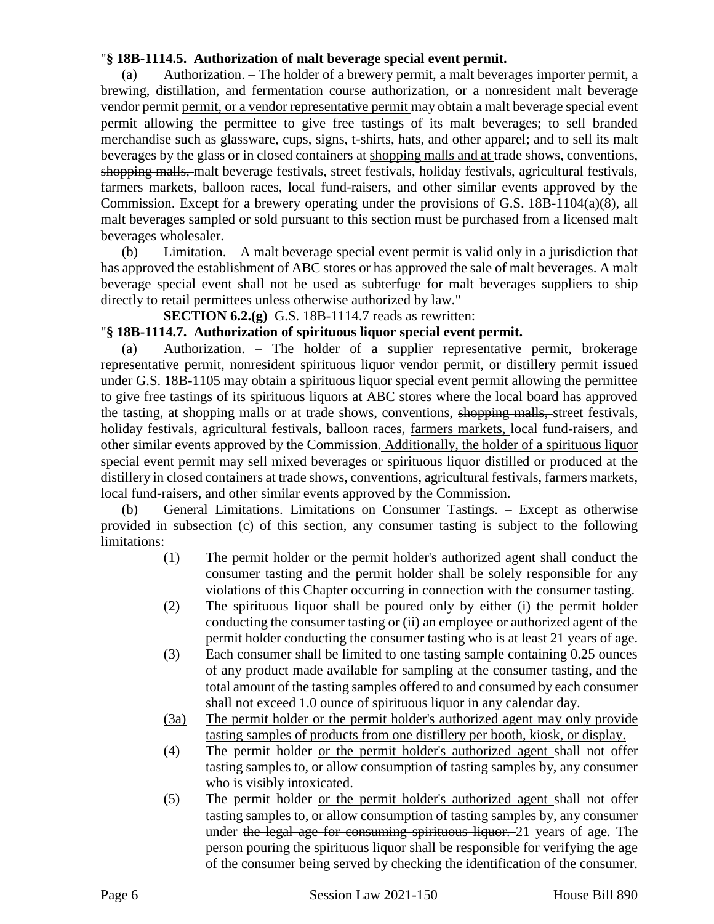# "**§ 18B-1114.5. Authorization of malt beverage special event permit.**

(a) Authorization. – The holder of a brewery permit, a malt beverages importer permit, a brewing, distillation, and fermentation course authorization,  $\theta$ -a nonresident malt beverage vendor permit permit, or a vendor representative permit may obtain a malt beverage special event permit allowing the permittee to give free tastings of its malt beverages; to sell branded merchandise such as glassware, cups, signs, t-shirts, hats, and other apparel; and to sell its malt beverages by the glass or in closed containers at shopping malls and at trade shows, conventions, shopping malls, malt beverage festivals, street festivals, holiday festivals, agricultural festivals, farmers markets, balloon races, local fund-raisers, and other similar events approved by the Commission. Except for a brewery operating under the provisions of G.S. 18B-1104(a)(8), all malt beverages sampled or sold pursuant to this section must be purchased from a licensed malt beverages wholesaler.

(b) Limitation. – A malt beverage special event permit is valid only in a jurisdiction that has approved the establishment of ABC stores or has approved the sale of malt beverages. A malt beverage special event shall not be used as subterfuge for malt beverages suppliers to ship directly to retail permittees unless otherwise authorized by law."

**SECTION 6.2.(g)** G.S. 18B-1114.7 reads as rewritten:

#### "**§ 18B-1114.7. Authorization of spirituous liquor special event permit.**

(a) Authorization. – The holder of a supplier representative permit, brokerage representative permit, nonresident spirituous liquor vendor permit, or distillery permit issued under G.S. 18B-1105 may obtain a spirituous liquor special event permit allowing the permittee to give free tastings of its spirituous liquors at ABC stores where the local board has approved the tasting, at shopping malls or at trade shows, conventions, shopping malls, street festivals, holiday festivals, agricultural festivals, balloon races, farmers markets, local fund-raisers, and other similar events approved by the Commission. Additionally, the holder of a spirituous liquor special event permit may sell mixed beverages or spirituous liquor distilled or produced at the distillery in closed containers at trade shows, conventions, agricultural festivals, farmers markets, local fund-raisers, and other similar events approved by the Commission.

(b) General Limitations. Limitations on Consumer Tastings. – Except as otherwise provided in subsection (c) of this section, any consumer tasting is subject to the following limitations:

- (1) The permit holder or the permit holder's authorized agent shall conduct the consumer tasting and the permit holder shall be solely responsible for any violations of this Chapter occurring in connection with the consumer tasting.
- (2) The spirituous liquor shall be poured only by either (i) the permit holder conducting the consumer tasting or (ii) an employee or authorized agent of the permit holder conducting the consumer tasting who is at least 21 years of age.
- (3) Each consumer shall be limited to one tasting sample containing 0.25 ounces of any product made available for sampling at the consumer tasting, and the total amount of the tasting samples offered to and consumed by each consumer shall not exceed 1.0 ounce of spirituous liquor in any calendar day.
- (3a) The permit holder or the permit holder's authorized agent may only provide tasting samples of products from one distillery per booth, kiosk, or display.
- (4) The permit holder or the permit holder's authorized agent shall not offer tasting samples to, or allow consumption of tasting samples by, any consumer who is visibly intoxicated.
- (5) The permit holder or the permit holder's authorized agent shall not offer tasting samples to, or allow consumption of tasting samples by, any consumer under the legal age for consuming spirituous liquor. 21 years of age. The person pouring the spirituous liquor shall be responsible for verifying the age of the consumer being served by checking the identification of the consumer.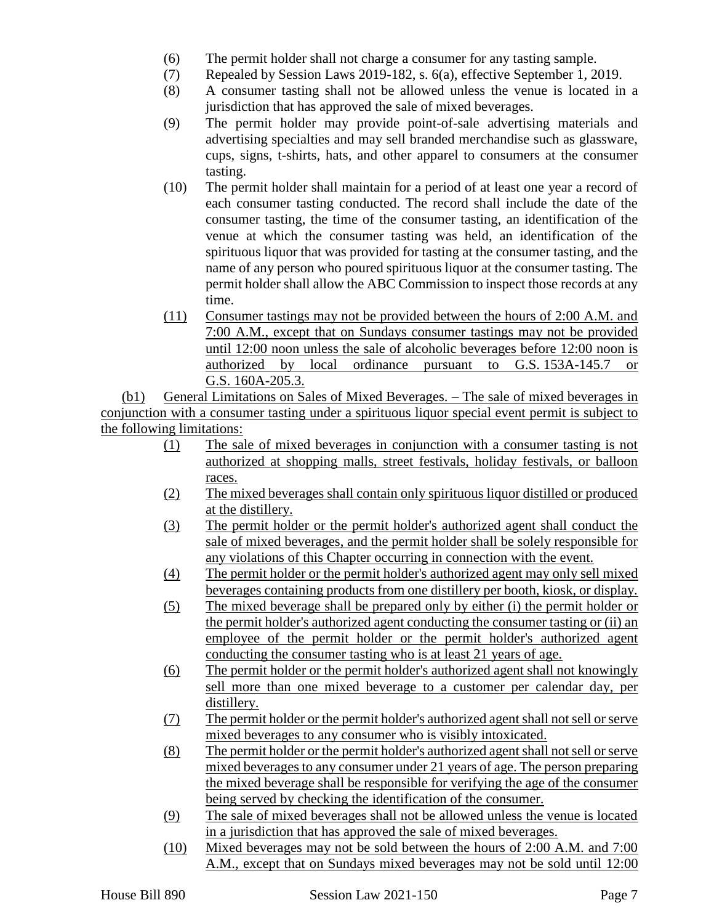- (6) The permit holder shall not charge a consumer for any tasting sample.
- (7) Repealed by Session Laws 2019-182, s. 6(a), effective September 1, 2019.
- (8) A consumer tasting shall not be allowed unless the venue is located in a jurisdiction that has approved the sale of mixed beverages.
- (9) The permit holder may provide point-of-sale advertising materials and advertising specialties and may sell branded merchandise such as glassware, cups, signs, t-shirts, hats, and other apparel to consumers at the consumer tasting.
- (10) The permit holder shall maintain for a period of at least one year a record of each consumer tasting conducted. The record shall include the date of the consumer tasting, the time of the consumer tasting, an identification of the venue at which the consumer tasting was held, an identification of the spirituous liquor that was provided for tasting at the consumer tasting, and the name of any person who poured spirituous liquor at the consumer tasting. The permit holder shall allow the ABC Commission to inspect those records at any time.
- (11) Consumer tastings may not be provided between the hours of 2:00 A.M. and 7:00 A.M., except that on Sundays consumer tastings may not be provided until 12:00 noon unless the sale of alcoholic beverages before 12:00 noon is authorized by local ordinance pursuant to G.S. 153A-145.7 or G.S. 160A-205.3.

(b1) General Limitations on Sales of Mixed Beverages. – The sale of mixed beverages in conjunction with a consumer tasting under a spirituous liquor special event permit is subject to the following limitations:

- (1) The sale of mixed beverages in conjunction with a consumer tasting is not authorized at shopping malls, street festivals, holiday festivals, or balloon races.
- (2) The mixed beverages shall contain only spirituous liquor distilled or produced at the distillery.
- (3) The permit holder or the permit holder's authorized agent shall conduct the sale of mixed beverages, and the permit holder shall be solely responsible for any violations of this Chapter occurring in connection with the event.
- (4) The permit holder or the permit holder's authorized agent may only sell mixed beverages containing products from one distillery per booth, kiosk, or display.
- (5) The mixed beverage shall be prepared only by either (i) the permit holder or the permit holder's authorized agent conducting the consumer tasting or (ii) an employee of the permit holder or the permit holder's authorized agent conducting the consumer tasting who is at least 21 years of age.
- (6) The permit holder or the permit holder's authorized agent shall not knowingly sell more than one mixed beverage to a customer per calendar day, per distillery.
- (7) The permit holder or the permit holder's authorized agent shall not sell or serve mixed beverages to any consumer who is visibly intoxicated.
- (8) The permit holder or the permit holder's authorized agent shall not sell or serve mixed beverages to any consumer under 21 years of age. The person preparing the mixed beverage shall be responsible for verifying the age of the consumer being served by checking the identification of the consumer.
- (9) The sale of mixed beverages shall not be allowed unless the venue is located in a jurisdiction that has approved the sale of mixed beverages.
- (10) Mixed beverages may not be sold between the hours of 2:00 A.M. and 7:00 A.M., except that on Sundays mixed beverages may not be sold until 12:00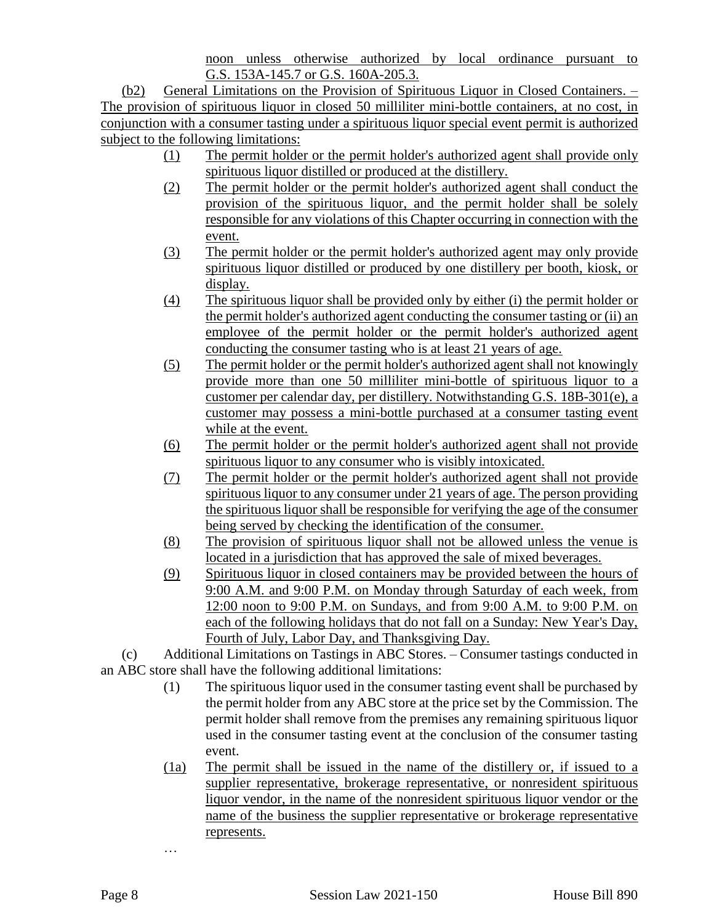noon unless otherwise authorized by local ordinance pursuant to G.S. 153A-145.7 or G.S. 160A-205.3.

(b2) General Limitations on the Provision of Spirituous Liquor in Closed Containers. – The provision of spirituous liquor in closed 50 milliliter mini-bottle containers, at no cost, in conjunction with a consumer tasting under a spirituous liquor special event permit is authorized subject to the following limitations:

- (1) The permit holder or the permit holder's authorized agent shall provide only spirituous liquor distilled or produced at the distillery.
- (2) The permit holder or the permit holder's authorized agent shall conduct the provision of the spirituous liquor, and the permit holder shall be solely responsible for any violations of this Chapter occurring in connection with the event.
- (3) The permit holder or the permit holder's authorized agent may only provide spirituous liquor distilled or produced by one distillery per booth, kiosk, or display.
- (4) The spirituous liquor shall be provided only by either (i) the permit holder or the permit holder's authorized agent conducting the consumer tasting or (ii) an employee of the permit holder or the permit holder's authorized agent conducting the consumer tasting who is at least 21 years of age.
- (5) The permit holder or the permit holder's authorized agent shall not knowingly provide more than one 50 milliliter mini-bottle of spirituous liquor to a customer per calendar day, per distillery. Notwithstanding G.S. 18B-301(e), a customer may possess a mini-bottle purchased at a consumer tasting event while at the event.
- (6) The permit holder or the permit holder's authorized agent shall not provide spirituous liquor to any consumer who is visibly intoxicated.
- (7) The permit holder or the permit holder's authorized agent shall not provide spirituous liquor to any consumer under 21 years of age. The person providing the spirituous liquor shall be responsible for verifying the age of the consumer being served by checking the identification of the consumer.
- (8) The provision of spirituous liquor shall not be allowed unless the venue is located in a jurisdiction that has approved the sale of mixed beverages.
- (9) Spirituous liquor in closed containers may be provided between the hours of 9:00 A.M. and 9:00 P.M. on Monday through Saturday of each week, from 12:00 noon to 9:00 P.M. on Sundays, and from 9:00 A.M. to 9:00 P.M. on each of the following holidays that do not fall on a Sunday: New Year's Day, Fourth of July, Labor Day, and Thanksgiving Day.

(c) Additional Limitations on Tastings in ABC Stores. – Consumer tastings conducted in an ABC store shall have the following additional limitations:

- (1) The spirituous liquor used in the consumer tasting event shall be purchased by the permit holder from any ABC store at the price set by the Commission. The permit holder shall remove from the premises any remaining spirituous liquor used in the consumer tasting event at the conclusion of the consumer tasting event.
- (1a) The permit shall be issued in the name of the distillery or, if issued to a supplier representative, brokerage representative, or nonresident spirituous liquor vendor, in the name of the nonresident spirituous liquor vendor or the name of the business the supplier representative or brokerage representative represents.

…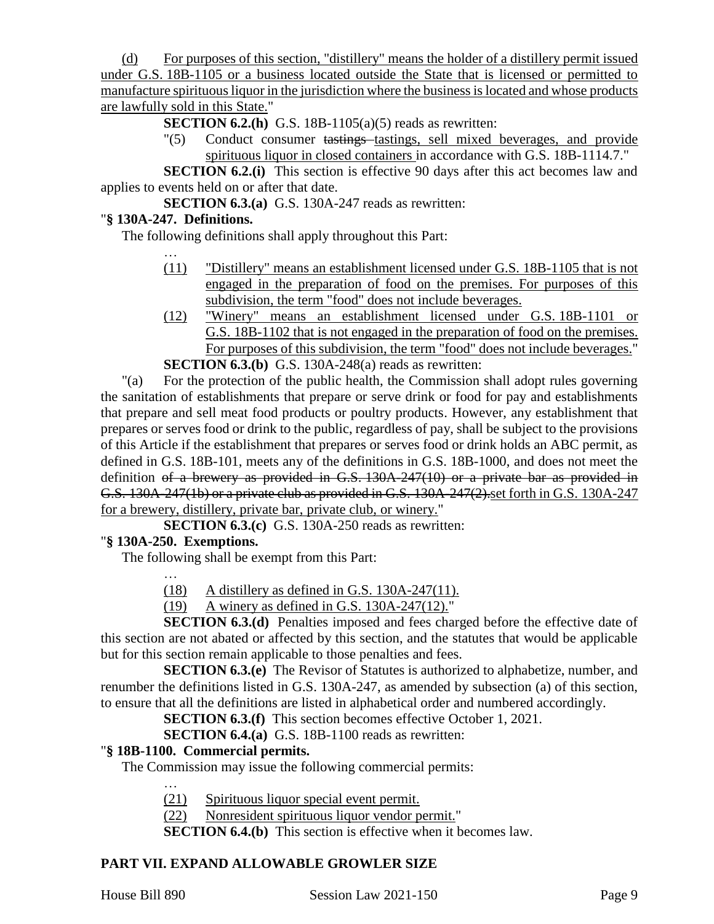(d) For purposes of this section, "distillery" means the holder of a distillery permit issued under G.S. 18B-1105 or a business located outside the State that is licensed or permitted to manufacture spirituous liquor in the jurisdiction where the business is located and whose products are lawfully sold in this State."

**SECTION 6.2.(h)** G.S. 18B-1105(a)(5) reads as rewritten:

"(5) Conduct consumer tastings tastings, sell mixed beverages, and provide spirituous liquor in closed containers in accordance with G.S. 18B-1114.7."

**SECTION 6.2.(i)** This section is effective 90 days after this act becomes law and applies to events held on or after that date.

**SECTION 6.3.(a)** G.S. 130A-247 reads as rewritten:

#### "**§ 130A-247. Definitions.**

The following definitions shall apply throughout this Part:

- … (11) "Distillery" means an establishment licensed under G.S. 18B-1105 that is not engaged in the preparation of food on the premises. For purposes of this subdivision, the term "food" does not include beverages.
- (12) "Winery" means an establishment licensed under G.S. 18B-1101 or G.S. 18B-1102 that is not engaged in the preparation of food on the premises. For purposes of this subdivision, the term "food" does not include beverages."

**SECTION 6.3.(b)** G.S. 130A-248(a) reads as rewritten:

"(a) For the protection of the public health, the Commission shall adopt rules governing the sanitation of establishments that prepare or serve drink or food for pay and establishments that prepare and sell meat food products or poultry products. However, any establishment that prepares or serves food or drink to the public, regardless of pay, shall be subject to the provisions of this Article if the establishment that prepares or serves food or drink holds an ABC permit, as defined in G.S. 18B-101, meets any of the definitions in G.S. 18B-1000, and does not meet the definition of a brewery as provided in G.S. 130A-247(10) or a private bar as provided in G.S. 130A-247(1b) or a private club as provided in G.S. 130A-247(2).set forth in G.S. 130A-247 for a brewery, distillery, private bar, private club, or winery."

**SECTION 6.3.(c)** G.S. 130A-250 reads as rewritten:

# "**§ 130A-250. Exemptions.**

…

The following shall be exempt from this Part:

 $(18)$  A distillery as defined in G.S. 130A-247(11).

(19) A winery as defined in G.S. 130A-247(12)."

**SECTION 6.3.(d)** Penalties imposed and fees charged before the effective date of this section are not abated or affected by this section, and the statutes that would be applicable but for this section remain applicable to those penalties and fees.

**SECTION 6.3.(e)** The Revisor of Statutes is authorized to alphabetize, number, and renumber the definitions listed in G.S. 130A-247, as amended by subsection (a) of this section, to ensure that all the definitions are listed in alphabetical order and numbered accordingly.

**SECTION 6.3.(f)** This section becomes effective October 1, 2021.

**SECTION 6.4.(a)** G.S. 18B-1100 reads as rewritten:

#### "**§ 18B-1100. Commercial permits.**

The Commission may issue the following commercial permits:

- (21) Spirituous liquor special event permit.
- (22) Nonresident spirituous liquor vendor permit."

**SECTION 6.4.(b)** This section is effective when it becomes law.

# **PART VII. EXPAND ALLOWABLE GROWLER SIZE**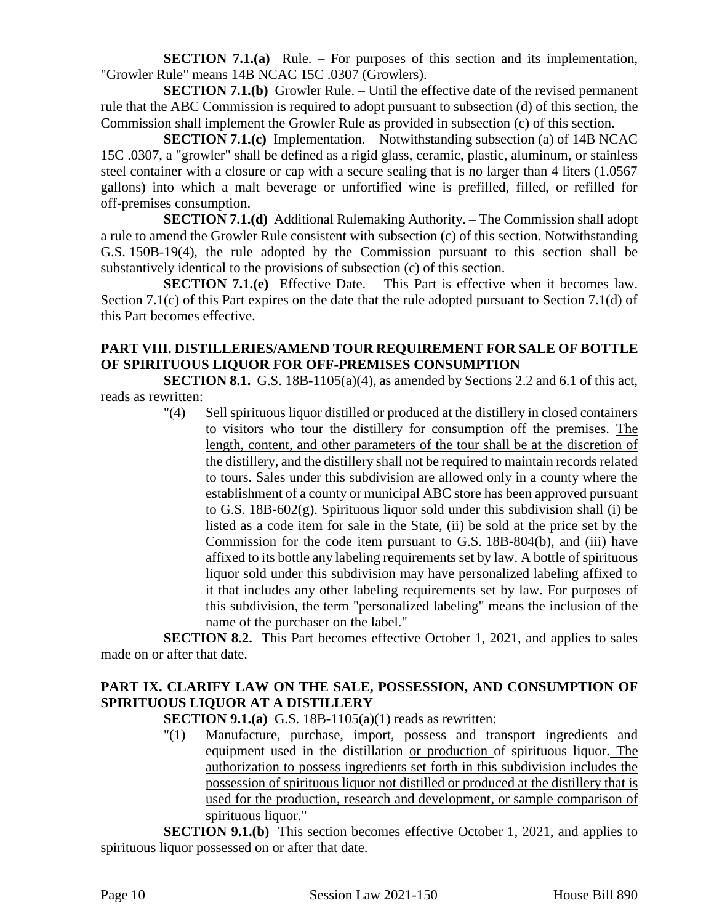**SECTION 7.1.(a)** Rule. – For purposes of this section and its implementation, "Growler Rule" means 14B NCAC 15C .0307 (Growlers).

**SECTION 7.1.(b)** Growler Rule. – Until the effective date of the revised permanent rule that the ABC Commission is required to adopt pursuant to subsection (d) of this section, the Commission shall implement the Growler Rule as provided in subsection (c) of this section.

**SECTION 7.1.(c)** Implementation. – Notwithstanding subsection (a) of 14B NCAC 15C .0307, a "growler" shall be defined as a rigid glass, ceramic, plastic, aluminum, or stainless steel container with a closure or cap with a secure sealing that is no larger than 4 liters (1.0567 gallons) into which a malt beverage or unfortified wine is prefilled, filled, or refilled for off-premises consumption.

**SECTION 7.1.(d)** Additional Rulemaking Authority. – The Commission shall adopt a rule to amend the Growler Rule consistent with subsection (c) of this section. Notwithstanding G.S. 150B-19(4), the rule adopted by the Commission pursuant to this section shall be substantively identical to the provisions of subsection (c) of this section.

**SECTION 7.1.(e)** Effective Date. – This Part is effective when it becomes law. Section 7.1(c) of this Part expires on the date that the rule adopted pursuant to Section 7.1(d) of this Part becomes effective.

# **PART VIII. DISTILLERIES/AMEND TOUR REQUIREMENT FOR SALE OF BOTTLE OF SPIRITUOUS LIQUOR FOR OFF-PREMISES CONSUMPTION**

**SECTION 8.1.** G.S. 18B-1105(a)(4), as amended by Sections 2.2 and 6.1 of this act, reads as rewritten:

> "(4) Sell spirituous liquor distilled or produced at the distillery in closed containers to visitors who tour the distillery for consumption off the premises. The length, content, and other parameters of the tour shall be at the discretion of the distillery, and the distillery shall not be required to maintain records related to tours. Sales under this subdivision are allowed only in a county where the establishment of a county or municipal ABC store has been approved pursuant to G.S. 18B-602(g). Spirituous liquor sold under this subdivision shall (i) be listed as a code item for sale in the State, (ii) be sold at the price set by the Commission for the code item pursuant to G.S. 18B-804(b), and (iii) have affixed to its bottle any labeling requirements set by law. A bottle of spirituous liquor sold under this subdivision may have personalized labeling affixed to it that includes any other labeling requirements set by law. For purposes of this subdivision, the term "personalized labeling" means the inclusion of the name of the purchaser on the label."

**SECTION 8.2.** This Part becomes effective October 1, 2021, and applies to sales made on or after that date.

# **PART IX. CLARIFY LAW ON THE SALE, POSSESSION, AND CONSUMPTION OF SPIRITUOUS LIQUOR AT A DISTILLERY**

**SECTION 9.1.(a)** G.S. 18B-1105(a)(1) reads as rewritten:

"(1) Manufacture, purchase, import, possess and transport ingredients and equipment used in the distillation or production of spirituous liquor. The authorization to possess ingredients set forth in this subdivision includes the possession of spirituous liquor not distilled or produced at the distillery that is used for the production, research and development, or sample comparison of spirituous liquor."

**SECTION 9.1.(b)** This section becomes effective October 1, 2021, and applies to spirituous liquor possessed on or after that date.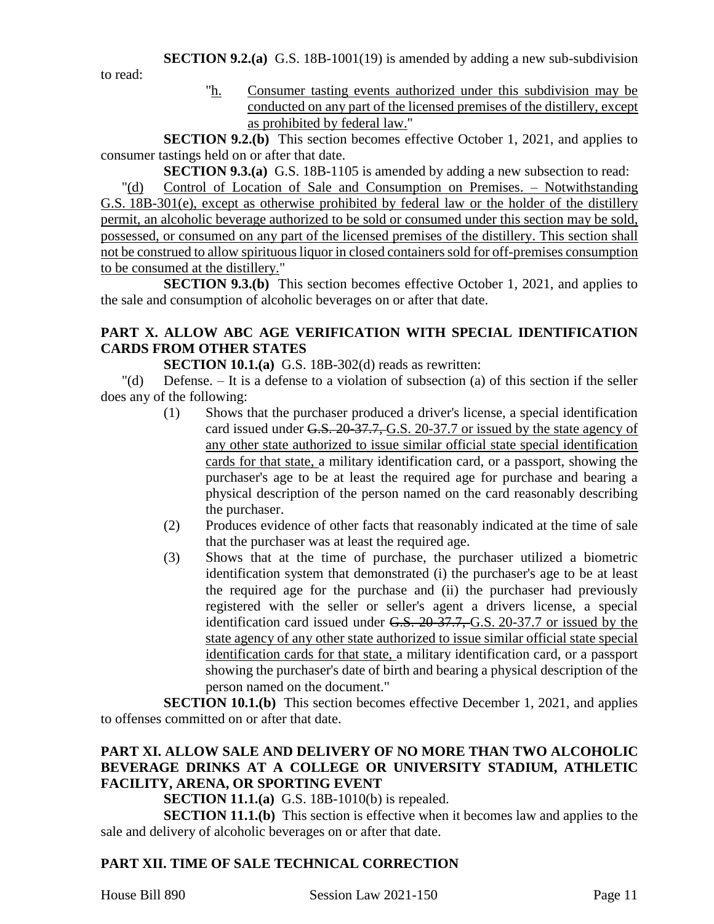to read:

"h. Consumer tasting events authorized under this subdivision may be conducted on any part of the licensed premises of the distillery, except as prohibited by federal law."

**SECTION 9.2.(b)** This section becomes effective October 1, 2021, and applies to consumer tastings held on or after that date.

**SECTION 9.3.(a)** G.S. 18B-1105 is amended by adding a new subsection to read:

"(d) Control of Location of Sale and Consumption on Premises. – Notwithstanding G.S. 18B-301(e), except as otherwise prohibited by federal law or the holder of the distillery permit, an alcoholic beverage authorized to be sold or consumed under this section may be sold, possessed, or consumed on any part of the licensed premises of the distillery. This section shall not be construed to allow spirituous liquor in closed containers sold for off-premises consumption to be consumed at the distillery."

**SECTION 9.3.(b)** This section becomes effective October 1, 2021, and applies to the sale and consumption of alcoholic beverages on or after that date.

# **PART X. ALLOW ABC AGE VERIFICATION WITH SPECIAL IDENTIFICATION CARDS FROM OTHER STATES**

**SECTION 10.1.(a)** G.S. 18B-302(d) reads as rewritten:

"(d) Defense. – It is a defense to a violation of subsection (a) of this section if the seller does any of the following:

- (1) Shows that the purchaser produced a driver's license, a special identification card issued under G.S. 20-37.7, G.S. 20-37.7 or issued by the state agency of any other state authorized to issue similar official state special identification cards for that state, a military identification card, or a passport, showing the purchaser's age to be at least the required age for purchase and bearing a physical description of the person named on the card reasonably describing the purchaser.
- (2) Produces evidence of other facts that reasonably indicated at the time of sale that the purchaser was at least the required age.
- (3) Shows that at the time of purchase, the purchaser utilized a biometric identification system that demonstrated (i) the purchaser's age to be at least the required age for the purchase and (ii) the purchaser had previously registered with the seller or seller's agent a drivers license, a special identification card issued under G.S. 20-37.7, G.S. 20-37.7 or issued by the state agency of any other state authorized to issue similar official state special identification cards for that state, a military identification card, or a passport showing the purchaser's date of birth and bearing a physical description of the person named on the document."

**SECTION 10.1.(b)** This section becomes effective December 1, 2021, and applies to offenses committed on or after that date.

# **PART XI. ALLOW SALE AND DELIVERY OF NO MORE THAN TWO ALCOHOLIC BEVERAGE DRINKS AT A COLLEGE OR UNIVERSITY STADIUM, ATHLETIC FACILITY, ARENA, OR SPORTING EVENT**

**SECTION 11.1.(a)** G.S. 18B-1010(b) is repealed.

**SECTION 11.1.(b)** This section is effective when it becomes law and applies to the sale and delivery of alcoholic beverages on or after that date.

# **PART XII. TIME OF SALE TECHNICAL CORRECTION**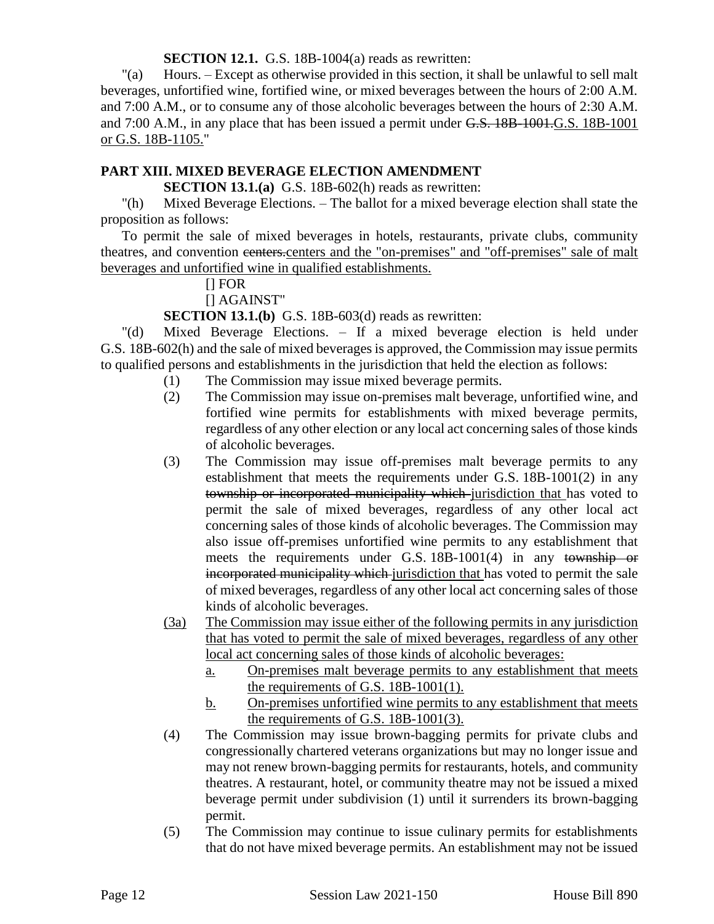**SECTION 12.1.** G.S. 18B-1004(a) reads as rewritten:

"(a) Hours. – Except as otherwise provided in this section, it shall be unlawful to sell malt beverages, unfortified wine, fortified wine, or mixed beverages between the hours of 2:00 A.M. and 7:00 A.M., or to consume any of those alcoholic beverages between the hours of 2:30 A.M. and 7:00 A.M., in any place that has been issued a permit under G.S. 18B-1001.G.S. 18B-1001 or G.S. 18B-1105."

# **PART XIII. MIXED BEVERAGE ELECTION AMENDMENT**

**SECTION 13.1.(a)** G.S. 18B-602(h) reads as rewritten:

"(h) Mixed Beverage Elections. – The ballot for a mixed beverage election shall state the proposition as follows:

To permit the sale of mixed beverages in hotels, restaurants, private clubs, community theatres, and convention centers.centers and the "on-premises" and "off-premises" sale of malt beverages and unfortified wine in qualified establishments.

# [] FOR

[] AGAINST"

**SECTION 13.1.(b)** G.S. 18B-603(d) reads as rewritten:

"(d) Mixed Beverage Elections. – If a mixed beverage election is held under G.S. 18B-602(h) and the sale of mixed beverages is approved, the Commission may issue permits to qualified persons and establishments in the jurisdiction that held the election as follows:

- (1) The Commission may issue mixed beverage permits.
- (2) The Commission may issue on-premises malt beverage, unfortified wine, and fortified wine permits for establishments with mixed beverage permits, regardless of any other election or any local act concerning sales of those kinds of alcoholic beverages.
- (3) The Commission may issue off-premises malt beverage permits to any establishment that meets the requirements under G.S. 18B-1001(2) in any township or incorporated municipality which jurisdiction that has voted to permit the sale of mixed beverages, regardless of any other local act concerning sales of those kinds of alcoholic beverages. The Commission may also issue off-premises unfortified wine permits to any establishment that meets the requirements under G.S. 18B-1001(4) in any township or incorporated municipality which jurisdiction that has voted to permit the sale of mixed beverages, regardless of any other local act concerning sales of those kinds of alcoholic beverages.
- (3a) The Commission may issue either of the following permits in any jurisdiction that has voted to permit the sale of mixed beverages, regardless of any other local act concerning sales of those kinds of alcoholic beverages:
	- a. On-premises malt beverage permits to any establishment that meets the requirements of G.S. 18B-1001(1).
	- b. On-premises unfortified wine permits to any establishment that meets the requirements of G.S. 18B-1001(3).
- (4) The Commission may issue brown-bagging permits for private clubs and congressionally chartered veterans organizations but may no longer issue and may not renew brown-bagging permits for restaurants, hotels, and community theatres. A restaurant, hotel, or community theatre may not be issued a mixed beverage permit under subdivision (1) until it surrenders its brown-bagging permit.
- (5) The Commission may continue to issue culinary permits for establishments that do not have mixed beverage permits. An establishment may not be issued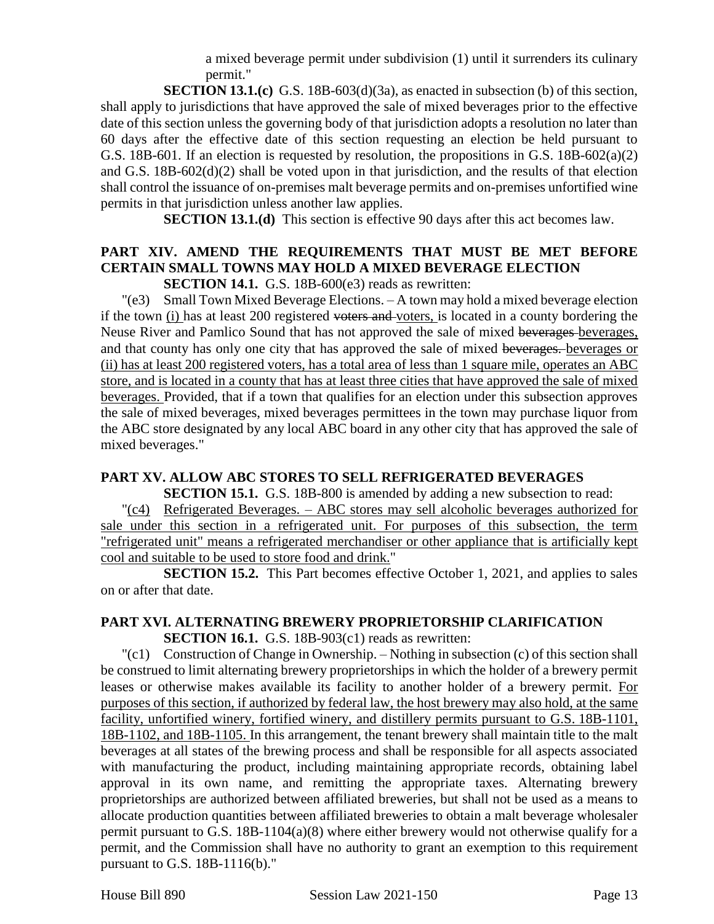a mixed beverage permit under subdivision (1) until it surrenders its culinary permit."

**SECTION 13.1.(c)** G.S. 18B-603(d)(3a), as enacted in subsection (b) of this section, shall apply to jurisdictions that have approved the sale of mixed beverages prior to the effective date of this section unless the governing body of that jurisdiction adopts a resolution no later than 60 days after the effective date of this section requesting an election be held pursuant to G.S. 18B-601. If an election is requested by resolution, the propositions in G.S. 18B-602(a)(2) and G.S. 18B-602(d)(2) shall be voted upon in that jurisdiction, and the results of that election shall control the issuance of on-premises malt beverage permits and on-premises unfortified wine permits in that jurisdiction unless another law applies.

**SECTION 13.1.(d)** This section is effective 90 days after this act becomes law.

# **PART XIV. AMEND THE REQUIREMENTS THAT MUST BE MET BEFORE CERTAIN SMALL TOWNS MAY HOLD A MIXED BEVERAGE ELECTION**

**SECTION 14.1.** G.S. 18B-600(e3) reads as rewritten:

"(e3) Small Town Mixed Beverage Elections. – A town may hold a mixed beverage election if the town (i) has at least 200 registered voters and voters, is located in a county bordering the Neuse River and Pamlico Sound that has not approved the sale of mixed beverages beverages, and that county has only one city that has approved the sale of mixed beverages. beverages or (ii) has at least 200 registered voters, has a total area of less than 1 square mile, operates an ABC store, and is located in a county that has at least three cities that have approved the sale of mixed beverages. Provided, that if a town that qualifies for an election under this subsection approves the sale of mixed beverages, mixed beverages permittees in the town may purchase liquor from the ABC store designated by any local ABC board in any other city that has approved the sale of mixed beverages."

# **PART XV. ALLOW ABC STORES TO SELL REFRIGERATED BEVERAGES**

**SECTION 15.1.** G.S. 18B-800 is amended by adding a new subsection to read:

"(c4) Refrigerated Beverages. – ABC stores may sell alcoholic beverages authorized for sale under this section in a refrigerated unit. For purposes of this subsection, the term "refrigerated unit" means a refrigerated merchandiser or other appliance that is artificially kept cool and suitable to be used to store food and drink."

**SECTION 15.2.** This Part becomes effective October 1, 2021, and applies to sales on or after that date.

# **PART XVI. ALTERNATING BREWERY PROPRIETORSHIP CLARIFICATION**

**SECTION 16.1.** G.S. 18B-903(c1) reads as rewritten:

 $\lvert$  Construction of Change in Ownership. – Nothing in subsection (c) of this section shall be construed to limit alternating brewery proprietorships in which the holder of a brewery permit leases or otherwise makes available its facility to another holder of a brewery permit. For purposes of this section, if authorized by federal law, the host brewery may also hold, at the same facility, unfortified winery, fortified winery, and distillery permits pursuant to G.S. 18B-1101, 18B-1102, and 18B-1105. In this arrangement, the tenant brewery shall maintain title to the malt beverages at all states of the brewing process and shall be responsible for all aspects associated with manufacturing the product, including maintaining appropriate records, obtaining label approval in its own name, and remitting the appropriate taxes. Alternating brewery proprietorships are authorized between affiliated breweries, but shall not be used as a means to allocate production quantities between affiliated breweries to obtain a malt beverage wholesaler permit pursuant to G.S. 18B-1104(a)(8) where either brewery would not otherwise qualify for a permit, and the Commission shall have no authority to grant an exemption to this requirement pursuant to G.S. 18B-1116(b)."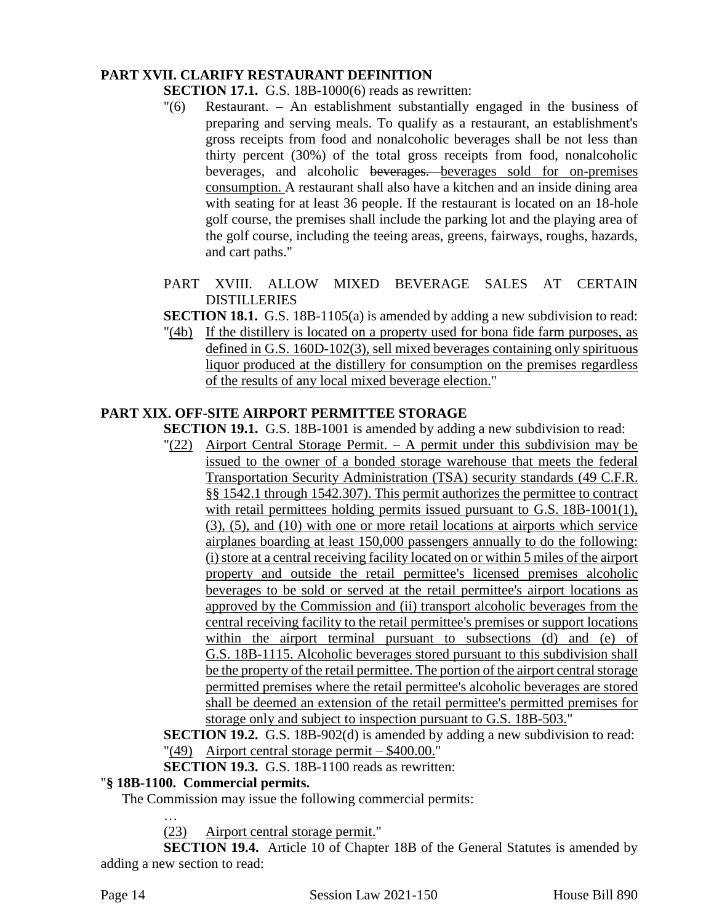## **PART XVII. CLARIFY RESTAURANT DEFINITION**

- **SECTION 17.1.** G.S. 18B-1000(6) reads as rewritten:
- "(6) Restaurant. An establishment substantially engaged in the business of preparing and serving meals. To qualify as a restaurant, an establishment's gross receipts from food and nonalcoholic beverages shall be not less than thirty percent (30%) of the total gross receipts from food, nonalcoholic beverages, and alcoholic beverages. beverages sold for on-premises consumption. A restaurant shall also have a kitchen and an inside dining area with seating for at least 36 people. If the restaurant is located on an 18-hole golf course, the premises shall include the parking lot and the playing area of the golf course, including the teeing areas, greens, fairways, roughs, hazards, and cart paths."
- PART XVIII. ALLOW MIXED BEVERAGE SALES AT CERTAIN **DISTILLERIES**
- **SECTION 18.1.** G.S. 18B-1105(a) is amended by adding a new subdivision to read:
- "(4b) If the distillery is located on a property used for bona fide farm purposes, as defined in G.S. 160D-102(3), sell mixed beverages containing only spirituous liquor produced at the distillery for consumption on the premises regardless of the results of any local mixed beverage election."

#### **PART XIX. OFF-SITE AIRPORT PERMITTEE STORAGE**

**SECTION 19.1.** G.S. 18B-1001 is amended by adding a new subdivision to read:

"(22) Airport Central Storage Permit. – A permit under this subdivision may be issued to the owner of a bonded storage warehouse that meets the federal Transportation Security Administration (TSA) security standards (49 C.F.R. §§ 1542.1 through 1542.307). This permit authorizes the permittee to contract with retail permittees holding permits issued pursuant to G.S. 18B-1001(1), (3), (5), and (10) with one or more retail locations at airports which service airplanes boarding at least 150,000 passengers annually to do the following: (i) store at a central receiving facility located on or within 5 miles of the airport property and outside the retail permittee's licensed premises alcoholic beverages to be sold or served at the retail permittee's airport locations as approved by the Commission and (ii) transport alcoholic beverages from the central receiving facility to the retail permittee's premises or support locations within the airport terminal pursuant to subsections (d) and (e) of G.S. 18B-1115. Alcoholic beverages stored pursuant to this subdivision shall be the property of the retail permittee. The portion of the airport central storage permitted premises where the retail permittee's alcoholic beverages are stored shall be deemed an extension of the retail permittee's permitted premises for storage only and subject to inspection pursuant to G.S. 18B-503."

**SECTION 19.2.** G.S. 18B-902(d) is amended by adding a new subdivision to read: "(49) Airport central storage permit – \$400.00."

**SECTION 19.3.** G.S. 18B-1100 reads as rewritten:

#### "**§ 18B-1100. Commercial permits.**

…

The Commission may issue the following commercial permits:

(23) Airport central storage permit."

**SECTION 19.4.** Article 10 of Chapter 18B of the General Statutes is amended by adding a new section to read: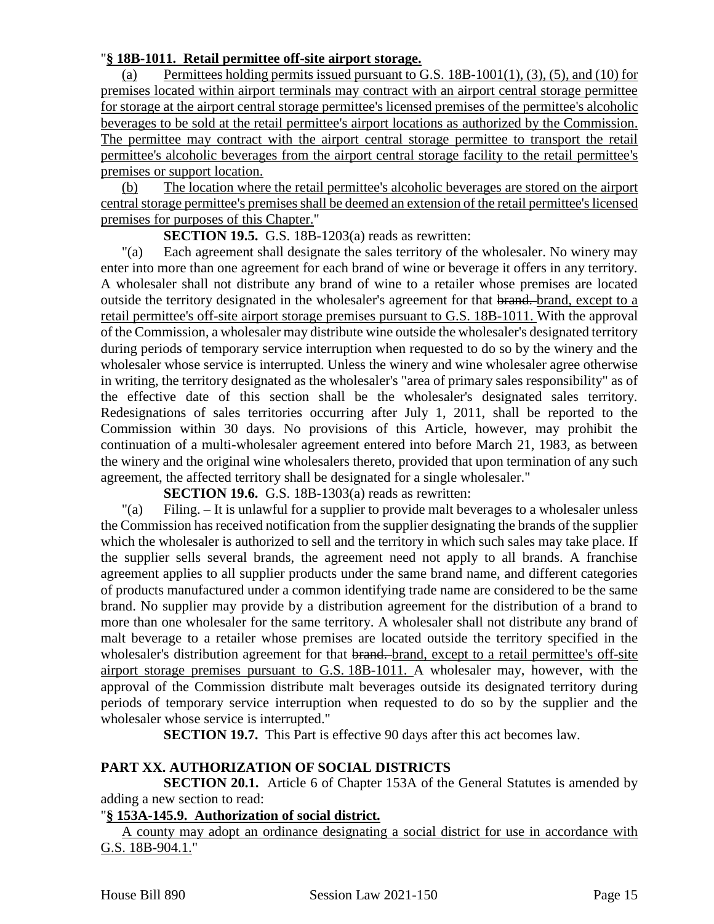#### "**§ 18B-1011. Retail permittee off-site airport storage.**

(a) Permittees holding permits issued pursuant to G.S.  $18B-1001(1)$ ,  $(3)$ ,  $(5)$ , and  $(10)$  for premises located within airport terminals may contract with an airport central storage permittee for storage at the airport central storage permittee's licensed premises of the permittee's alcoholic beverages to be sold at the retail permittee's airport locations as authorized by the Commission. The permittee may contract with the airport central storage permittee to transport the retail permittee's alcoholic beverages from the airport central storage facility to the retail permittee's premises or support location.

(b) The location where the retail permittee's alcoholic beverages are stored on the airport central storage permittee's premises shall be deemed an extension of the retail permittee's licensed premises for purposes of this Chapter."

**SECTION 19.5.** G.S. 18B-1203(a) reads as rewritten:

"(a) Each agreement shall designate the sales territory of the wholesaler. No winery may enter into more than one agreement for each brand of wine or beverage it offers in any territory. A wholesaler shall not distribute any brand of wine to a retailer whose premises are located outside the territory designated in the wholesaler's agreement for that brand. brand, except to a retail permittee's off-site airport storage premises pursuant to G.S. 18B-1011. With the approval of the Commission, a wholesaler may distribute wine outside the wholesaler's designated territory during periods of temporary service interruption when requested to do so by the winery and the wholesaler whose service is interrupted. Unless the winery and wine wholesaler agree otherwise in writing, the territory designated as the wholesaler's "area of primary sales responsibility" as of the effective date of this section shall be the wholesaler's designated sales territory. Redesignations of sales territories occurring after July 1, 2011, shall be reported to the Commission within 30 days. No provisions of this Article, however, may prohibit the continuation of a multi-wholesaler agreement entered into before March 21, 1983, as between the winery and the original wine wholesalers thereto, provided that upon termination of any such agreement, the affected territory shall be designated for a single wholesaler."

**SECTION 19.6.** G.S. 18B-1303(a) reads as rewritten:

"(a) Filing. – It is unlawful for a supplier to provide malt beverages to a wholesaler unless the Commission has received notification from the supplier designating the brands of the supplier which the wholesaler is authorized to sell and the territory in which such sales may take place. If the supplier sells several brands, the agreement need not apply to all brands. A franchise agreement applies to all supplier products under the same brand name, and different categories of products manufactured under a common identifying trade name are considered to be the same brand. No supplier may provide by a distribution agreement for the distribution of a brand to more than one wholesaler for the same territory. A wholesaler shall not distribute any brand of malt beverage to a retailer whose premises are located outside the territory specified in the wholesaler's distribution agreement for that brand. except to a retail permittee's off-site airport storage premises pursuant to G.S. 18B-1011. A wholesaler may, however, with the approval of the Commission distribute malt beverages outside its designated territory during periods of temporary service interruption when requested to do so by the supplier and the wholesaler whose service is interrupted."

**SECTION 19.7.** This Part is effective 90 days after this act becomes law.

# **PART XX. AUTHORIZATION OF SOCIAL DISTRICTS**

**SECTION 20.1.** Article 6 of Chapter 153A of the General Statutes is amended by adding a new section to read:

# "**§ 153A-145.9. Authorization of social district.**

A county may adopt an ordinance designating a social district for use in accordance with G.S. 18B-904.1."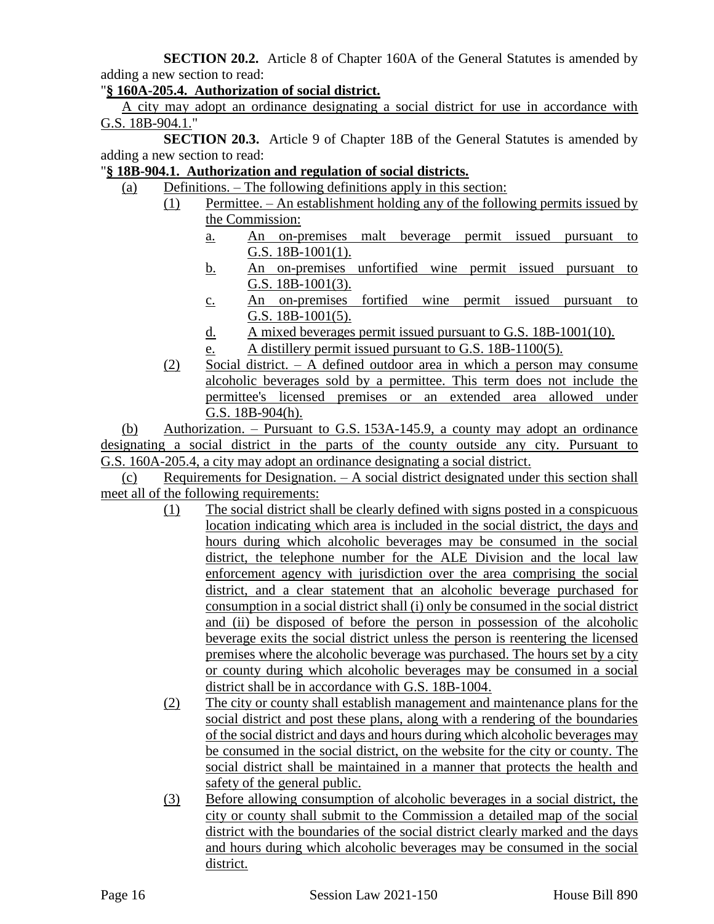**SECTION 20.2.** Article 8 of Chapter 160A of the General Statutes is amended by adding a new section to read:

"**§ 160A-205.4. Authorization of social district.**

A city may adopt an ordinance designating a social district for use in accordance with G.S. 18B-904.1."

**SECTION 20.3.** Article 9 of Chapter 18B of the General Statutes is amended by adding a new section to read:

"**§ 18B-904.1. Authorization and regulation of social districts.**

- (a) Definitions. The following definitions apply in this section:
	- (1) Permittee. An establishment holding any of the following permits issued by the Commission:
		- a. An on-premises malt beverage permit issued pursuant to G.S. 18B-1001(1).
		- b. An on-premises unfortified wine permit issued pursuant to G.S. 18B-1001(3).
		- c. An on-premises fortified wine permit issued pursuant to G.S. 18B-1001(5).
		- d. A mixed beverages permit issued pursuant to G.S. 18B-1001(10).
		- e. A distillery permit issued pursuant to G.S. 18B-1100(5).
		- (2) Social district. A defined outdoor area in which a person may consume alcoholic beverages sold by a permittee. This term does not include the permittee's licensed premises or an extended area allowed under G.S. 18B-904(h).

(b) Authorization. – Pursuant to G.S. 153A-145.9, a county may adopt an ordinance designating a social district in the parts of the county outside any city. Pursuant to G.S. 160A-205.4, a city may adopt an ordinance designating a social district.

(c) Requirements for Designation. – A social district designated under this section shall meet all of the following requirements:

- (1) The social district shall be clearly defined with signs posted in a conspicuous location indicating which area is included in the social district, the days and hours during which alcoholic beverages may be consumed in the social district, the telephone number for the ALE Division and the local law enforcement agency with jurisdiction over the area comprising the social district, and a clear statement that an alcoholic beverage purchased for consumption in a social district shall (i) only be consumed in the social district and (ii) be disposed of before the person in possession of the alcoholic beverage exits the social district unless the person is reentering the licensed premises where the alcoholic beverage was purchased. The hours set by a city or county during which alcoholic beverages may be consumed in a social district shall be in accordance with G.S. 18B-1004.
- (2) The city or county shall establish management and maintenance plans for the social district and post these plans, along with a rendering of the boundaries of the social district and days and hours during which alcoholic beverages may be consumed in the social district, on the website for the city or county. The social district shall be maintained in a manner that protects the health and safety of the general public.
- (3) Before allowing consumption of alcoholic beverages in a social district, the city or county shall submit to the Commission a detailed map of the social district with the boundaries of the social district clearly marked and the days and hours during which alcoholic beverages may be consumed in the social district.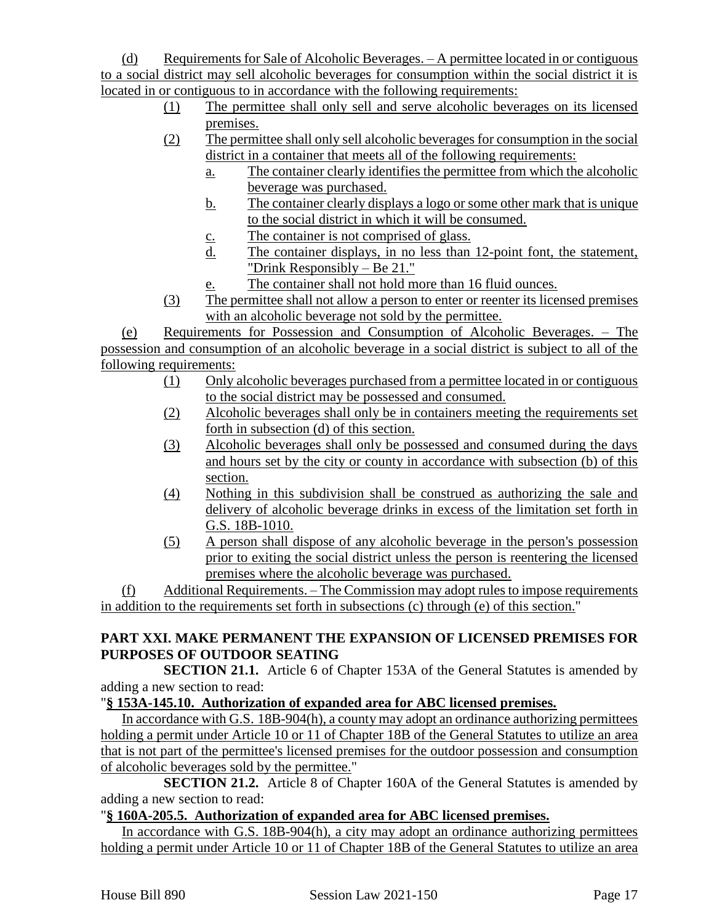(d) Requirements for Sale of Alcoholic Beverages. – A permittee located in or contiguous to a social district may sell alcoholic beverages for consumption within the social district it is located in or contiguous to in accordance with the following requirements:

- (1) The permittee shall only sell and serve alcoholic beverages on its licensed premises.
- (2) The permittee shall only sell alcoholic beverages for consumption in the social district in a container that meets all of the following requirements:
	- a. The container clearly identifies the permittee from which the alcoholic beverage was purchased.
	- b. The container clearly displays a logo or some other mark that is unique to the social district in which it will be consumed.
	- c. The container is not comprised of glass.
	- d. The container displays, in no less than 12-point font, the statement, "Drink Responsibly – Be 21."
	- e. The container shall not hold more than 16 fluid ounces.
- (3) The permittee shall not allow a person to enter or reenter its licensed premises with an alcoholic beverage not sold by the permittee.

(e) Requirements for Possession and Consumption of Alcoholic Beverages. – The possession and consumption of an alcoholic beverage in a social district is subject to all of the following requirements:

- (1) Only alcoholic beverages purchased from a permittee located in or contiguous to the social district may be possessed and consumed.
- (2) Alcoholic beverages shall only be in containers meeting the requirements set forth in subsection (d) of this section.
- (3) Alcoholic beverages shall only be possessed and consumed during the days and hours set by the city or county in accordance with subsection (b) of this section.
- (4) Nothing in this subdivision shall be construed as authorizing the sale and delivery of alcoholic beverage drinks in excess of the limitation set forth in G.S. 18B-1010.
- (5) A person shall dispose of any alcoholic beverage in the person's possession prior to exiting the social district unless the person is reentering the licensed premises where the alcoholic beverage was purchased.

(f) Additional Requirements. – The Commission may adopt rules to impose requirements in addition to the requirements set forth in subsections (c) through (e) of this section."

# **PART XXI. MAKE PERMANENT THE EXPANSION OF LICENSED PREMISES FOR PURPOSES OF OUTDOOR SEATING**

**SECTION 21.1.** Article 6 of Chapter 153A of the General Statutes is amended by adding a new section to read:

# "**§ 153A-145.10. Authorization of expanded area for ABC licensed premises.**

In accordance with G.S. 18B-904(h), a county may adopt an ordinance authorizing permittees holding a permit under Article 10 or 11 of Chapter 18B of the General Statutes to utilize an area that is not part of the permittee's licensed premises for the outdoor possession and consumption of alcoholic beverages sold by the permittee."

**SECTION 21.2.** Article 8 of Chapter 160A of the General Statutes is amended by adding a new section to read:

# "**§ 160A-205.5. Authorization of expanded area for ABC licensed premises.**

In accordance with G.S. 18B-904(h), a city may adopt an ordinance authorizing permittees holding a permit under Article 10 or 11 of Chapter 18B of the General Statutes to utilize an area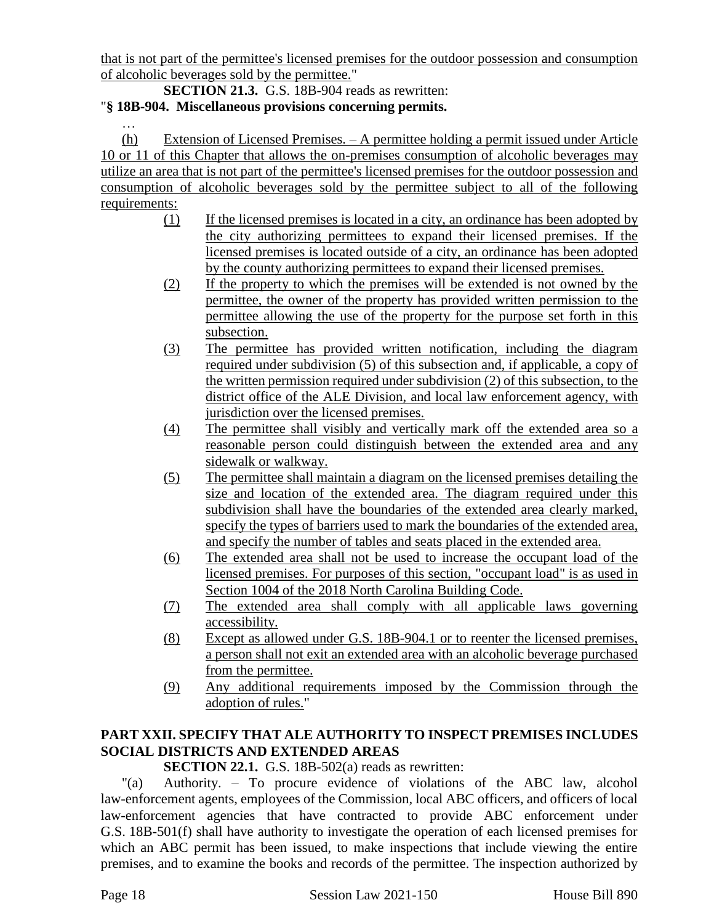that is not part of the permittee's licensed premises for the outdoor possession and consumption of alcoholic beverages sold by the permittee."

**SECTION 21.3.** G.S. 18B-904 reads as rewritten: "**§ 18B-904. Miscellaneous provisions concerning permits.**

…

(h) Extension of Licensed Premises. – A permittee holding a permit issued under Article 10 or 11 of this Chapter that allows the on-premises consumption of alcoholic beverages may utilize an area that is not part of the permittee's licensed premises for the outdoor possession and consumption of alcoholic beverages sold by the permittee subject to all of the following requirements:

- (1) If the licensed premises is located in a city, an ordinance has been adopted by the city authorizing permittees to expand their licensed premises. If the licensed premises is located outside of a city, an ordinance has been adopted by the county authorizing permittees to expand their licensed premises.
- (2) If the property to which the premises will be extended is not owned by the permittee, the owner of the property has provided written permission to the permittee allowing the use of the property for the purpose set forth in this subsection.
- (3) The permittee has provided written notification, including the diagram required under subdivision (5) of this subsection and, if applicable, a copy of the written permission required under subdivision (2) of this subsection, to the district office of the ALE Division, and local law enforcement agency, with jurisdiction over the licensed premises.
- (4) The permittee shall visibly and vertically mark off the extended area so a reasonable person could distinguish between the extended area and any sidewalk or walkway.
- (5) The permittee shall maintain a diagram on the licensed premises detailing the size and location of the extended area. The diagram required under this subdivision shall have the boundaries of the extended area clearly marked, specify the types of barriers used to mark the boundaries of the extended area, and specify the number of tables and seats placed in the extended area.
- (6) The extended area shall not be used to increase the occupant load of the licensed premises. For purposes of this section, "occupant load" is as used in Section 1004 of the 2018 North Carolina Building Code.
- (7) The extended area shall comply with all applicable laws governing accessibility.
- (8) Except as allowed under G.S. 18B-904.1 or to reenter the licensed premises, a person shall not exit an extended area with an alcoholic beverage purchased from the permittee.
- (9) Any additional requirements imposed by the Commission through the adoption of rules."

# **PART XXII. SPECIFY THAT ALE AUTHORITY TO INSPECT PREMISES INCLUDES SOCIAL DISTRICTS AND EXTENDED AREAS**

# **SECTION 22.1.** G.S. 18B-502(a) reads as rewritten:

"(a) Authority. – To procure evidence of violations of the ABC law, alcohol law-enforcement agents, employees of the Commission, local ABC officers, and officers of local law-enforcement agencies that have contracted to provide ABC enforcement under G.S. 18B-501(f) shall have authority to investigate the operation of each licensed premises for which an ABC permit has been issued, to make inspections that include viewing the entire premises, and to examine the books and records of the permittee. The inspection authorized by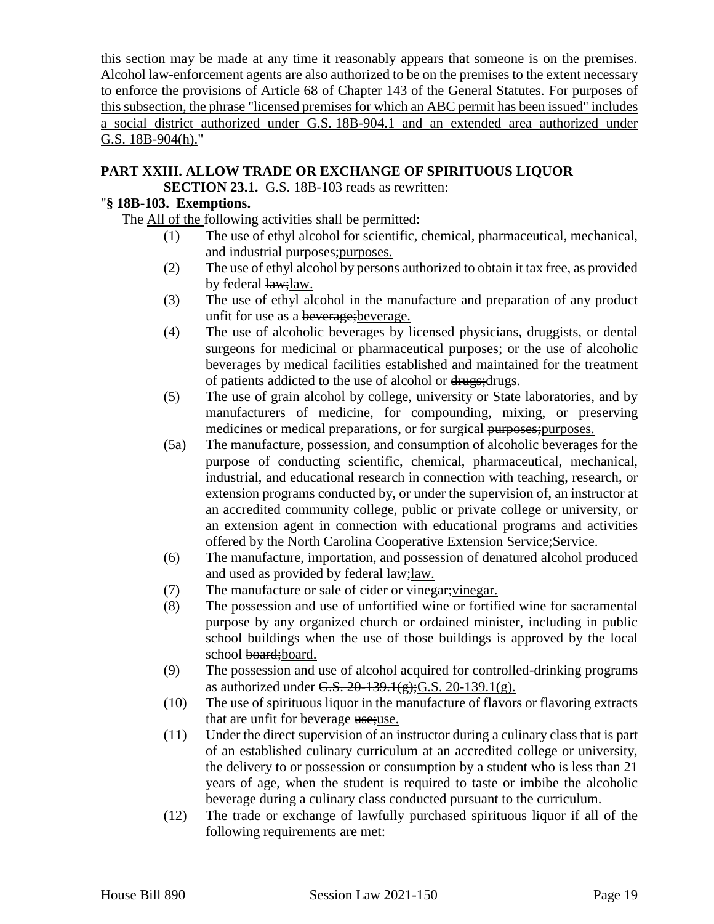this section may be made at any time it reasonably appears that someone is on the premises. Alcohol law-enforcement agents are also authorized to be on the premises to the extent necessary to enforce the provisions of Article 68 of Chapter 143 of the General Statutes. For purposes of this subsection, the phrase "licensed premises for which an ABC permit has been issued" includes a social district authorized under G.S. 18B-904.1 and an extended area authorized under G.S. 18B-904(h)."

# **PART XXIII. ALLOW TRADE OR EXCHANGE OF SPIRITUOUS LIQUOR**

**SECTION 23.1.** G.S. 18B-103 reads as rewritten:

# "**§ 18B-103. Exemptions.**

The All of the following activities shall be permitted:

- (1) The use of ethyl alcohol for scientific, chemical, pharmaceutical, mechanical, and industrial purposes;purposes.
- (2) The use of ethyl alcohol by persons authorized to obtain it tax free, as provided by federal law; law.
- (3) The use of ethyl alcohol in the manufacture and preparation of any product unfit for use as a beverage; beverage.
- (4) The use of alcoholic beverages by licensed physicians, druggists, or dental surgeons for medicinal or pharmaceutical purposes; or the use of alcoholic beverages by medical facilities established and maintained for the treatment of patients addicted to the use of alcohol or drugs;drugs.
- (5) The use of grain alcohol by college, university or State laboratories, and by manufacturers of medicine, for compounding, mixing, or preserving medicines or medical preparations, or for surgical purposes; purposes.
- (5a) The manufacture, possession, and consumption of alcoholic beverages for the purpose of conducting scientific, chemical, pharmaceutical, mechanical, industrial, and educational research in connection with teaching, research, or extension programs conducted by, or under the supervision of, an instructor at an accredited community college, public or private college or university, or an extension agent in connection with educational programs and activities offered by the North Carolina Cooperative Extension Service; Service.
- (6) The manufacture, importation, and possession of denatured alcohol produced and used as provided by federal law;law.
- (7) The manufacture or sale of cider or vinegar; vinegar.
- (8) The possession and use of unfortified wine or fortified wine for sacramental purpose by any organized church or ordained minister, including in public school buildings when the use of those buildings is approved by the local school board; board.
- (9) The possession and use of alcohol acquired for controlled-drinking programs as authorized under G.S.  $20-139.1(g)$ ; G.S.  $20-139.1(g)$ .
- (10) The use of spirituous liquor in the manufacture of flavors or flavoring extracts that are unfit for beverage use; use.
- (11) Under the direct supervision of an instructor during a culinary class that is part of an established culinary curriculum at an accredited college or university, the delivery to or possession or consumption by a student who is less than 21 years of age, when the student is required to taste or imbibe the alcoholic beverage during a culinary class conducted pursuant to the curriculum.
- (12) The trade or exchange of lawfully purchased spirituous liquor if all of the following requirements are met: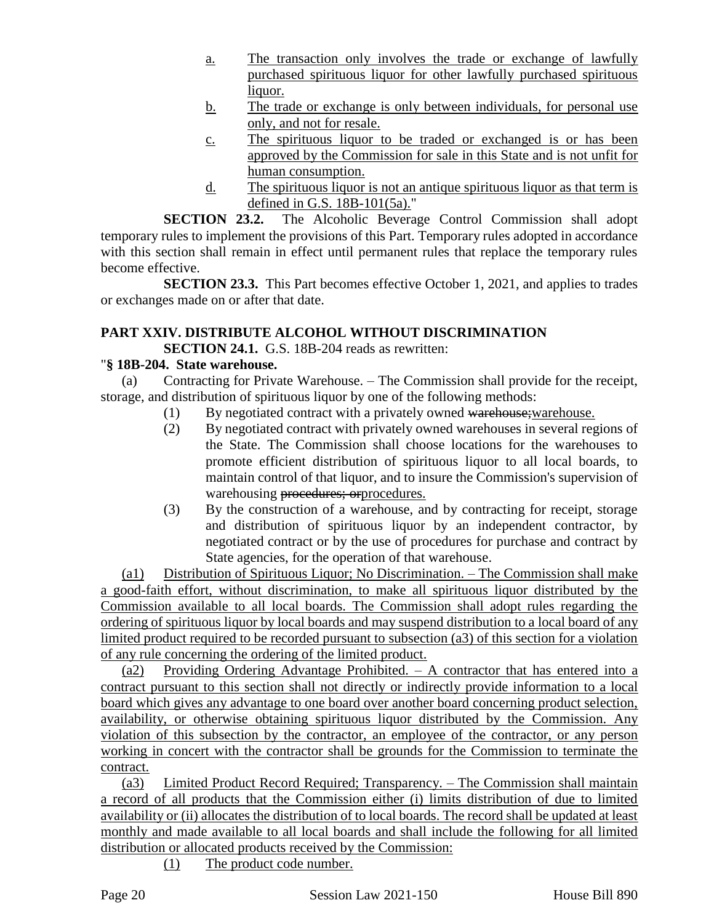- a. The transaction only involves the trade or exchange of lawfully purchased spirituous liquor for other lawfully purchased spirituous liquor.
- b. The trade or exchange is only between individuals, for personal use only, and not for resale.
- c. The spirituous liquor to be traded or exchanged is or has been approved by the Commission for sale in this State and is not unfit for human consumption.
- d. The spirituous liquor is not an antique spirituous liquor as that term is defined in G.S. 18B-101(5a)."

**SECTION 23.2.** The Alcoholic Beverage Control Commission shall adopt temporary rules to implement the provisions of this Part. Temporary rules adopted in accordance with this section shall remain in effect until permanent rules that replace the temporary rules become effective.

**SECTION 23.3.** This Part becomes effective October 1, 2021, and applies to trades or exchanges made on or after that date.

# **PART XXIV. DISTRIBUTE ALCOHOL WITHOUT DISCRIMINATION**

**SECTION 24.1.** G.S. 18B-204 reads as rewritten:

#### "**§ 18B-204. State warehouse.**

(a) Contracting for Private Warehouse. – The Commission shall provide for the receipt, storage, and distribution of spirituous liquor by one of the following methods:

- (1) By negotiated contract with a privately owned warehouse; warehouse.
- (2) By negotiated contract with privately owned warehouses in several regions of the State. The Commission shall choose locations for the warehouses to promote efficient distribution of spirituous liquor to all local boards, to maintain control of that liquor, and to insure the Commission's supervision of warehousing procedures; orprocedures.
- (3) By the construction of a warehouse, and by contracting for receipt, storage and distribution of spirituous liquor by an independent contractor, by negotiated contract or by the use of procedures for purchase and contract by State agencies, for the operation of that warehouse.

(a1) Distribution of Spirituous Liquor; No Discrimination. – The Commission shall make a good-faith effort, without discrimination, to make all spirituous liquor distributed by the Commission available to all local boards. The Commission shall adopt rules regarding the ordering of spirituous liquor by local boards and may suspend distribution to a local board of any limited product required to be recorded pursuant to subsection (a3) of this section for a violation of any rule concerning the ordering of the limited product.

(a2) Providing Ordering Advantage Prohibited. – A contractor that has entered into a contract pursuant to this section shall not directly or indirectly provide information to a local board which gives any advantage to one board over another board concerning product selection, availability, or otherwise obtaining spirituous liquor distributed by the Commission. Any violation of this subsection by the contractor, an employee of the contractor, or any person working in concert with the contractor shall be grounds for the Commission to terminate the contract.

(a3) Limited Product Record Required; Transparency. – The Commission shall maintain a record of all products that the Commission either (i) limits distribution of due to limited availability or (ii) allocates the distribution of to local boards. The record shall be updated at least monthly and made available to all local boards and shall include the following for all limited distribution or allocated products received by the Commission:

(1) The product code number.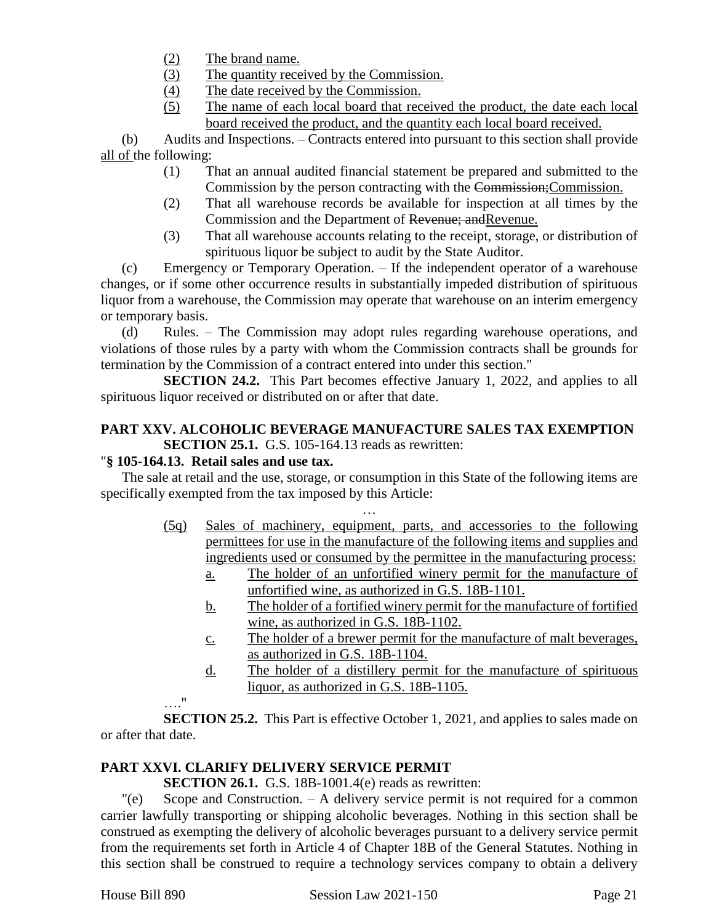- (2) The brand name.
- (3) The quantity received by the Commission.
- (4) The date received by the Commission.
- (5) The name of each local board that received the product, the date each local board received the product, and the quantity each local board received.

(b) Audits and Inspections. – Contracts entered into pursuant to this section shall provide all of the following:

- (1) That an annual audited financial statement be prepared and submitted to the Commission by the person contracting with the Commission;Commission.
- (2) That all warehouse records be available for inspection at all times by the Commission and the Department of Revenue; andRevenue.
- (3) That all warehouse accounts relating to the receipt, storage, or distribution of spirituous liquor be subject to audit by the State Auditor.

(c) Emergency or Temporary Operation. – If the independent operator of a warehouse changes, or if some other occurrence results in substantially impeded distribution of spirituous liquor from a warehouse, the Commission may operate that warehouse on an interim emergency or temporary basis.

(d) Rules. – The Commission may adopt rules regarding warehouse operations, and violations of those rules by a party with whom the Commission contracts shall be grounds for termination by the Commission of a contract entered into under this section."

**SECTION 24.2.** This Part becomes effective January 1, 2022, and applies to all spirituous liquor received or distributed on or after that date.

# **PART XXV. ALCOHOLIC BEVERAGE MANUFACTURE SALES TAX EXEMPTION SECTION 25.1.** G.S. 105-164.13 reads as rewritten:

# "**§ 105-164.13. Retail sales and use tax.**

The sale at retail and the use, storage, or consumption in this State of the following items are specifically exempted from the tax imposed by this Article:

- … (5q) Sales of machinery, equipment, parts, and accessories to the following permittees for use in the manufacture of the following items and supplies and ingredients used or consumed by the permittee in the manufacturing process:
	- a. The holder of an unfortified winery permit for the manufacture of unfortified wine, as authorized in G.S. 18B-1101.
	- b. The holder of a fortified winery permit for the manufacture of fortified wine, as authorized in G.S. 18B-1102.
	- c. The holder of a brewer permit for the manufacture of malt beverages, as authorized in G.S. 18B-1104.
	- d. The holder of a distillery permit for the manufacture of spirituous liquor, as authorized in G.S. 18B-1105.

# …."

**SECTION 25.2.** This Part is effective October 1, 2021, and applies to sales made on or after that date.

# **PART XXVI. CLARIFY DELIVERY SERVICE PERMIT**

**SECTION 26.1.** G.S. 18B-1001.4(e) reads as rewritten:

"(e) Scope and Construction. – A delivery service permit is not required for a common carrier lawfully transporting or shipping alcoholic beverages. Nothing in this section shall be construed as exempting the delivery of alcoholic beverages pursuant to a delivery service permit from the requirements set forth in Article 4 of Chapter 18B of the General Statutes. Nothing in this section shall be construed to require a technology services company to obtain a delivery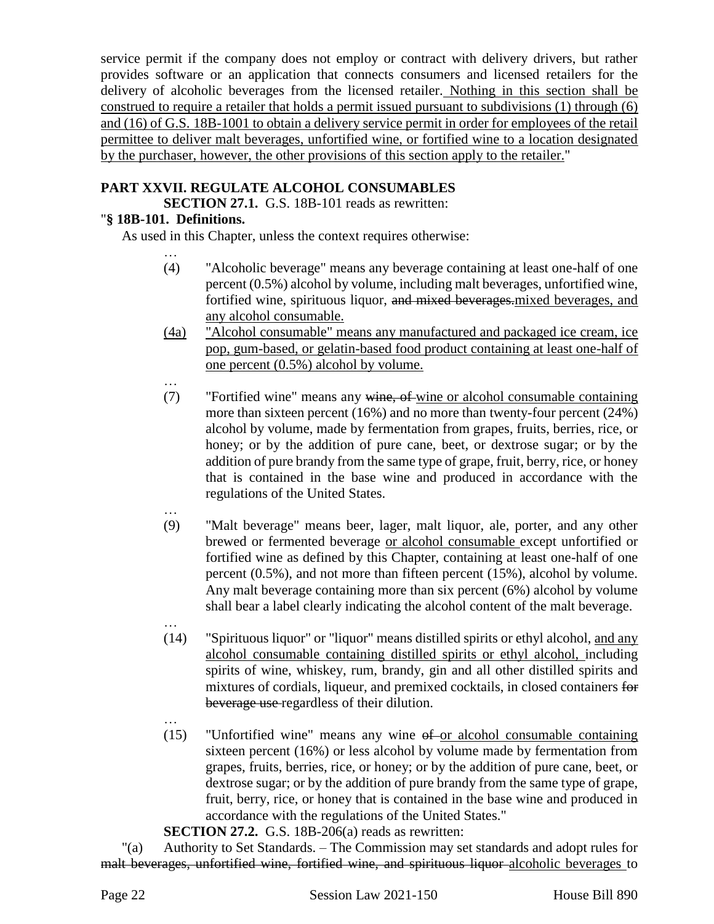service permit if the company does not employ or contract with delivery drivers, but rather provides software or an application that connects consumers and licensed retailers for the delivery of alcoholic beverages from the licensed retailer. Nothing in this section shall be construed to require a retailer that holds a permit issued pursuant to subdivisions (1) through (6) and (16) of G.S. 18B-1001 to obtain a delivery service permit in order for employees of the retail permittee to deliver malt beverages, unfortified wine, or fortified wine to a location designated by the purchaser, however, the other provisions of this section apply to the retailer."

# **PART XXVII. REGULATE ALCOHOL CONSUMABLES**

**SECTION 27.1.** G.S. 18B-101 reads as rewritten:

# "**§ 18B-101. Definitions.**

…

As used in this Chapter, unless the context requires otherwise:

- … (4) "Alcoholic beverage" means any beverage containing at least one-half of one percent (0.5%) alcohol by volume, including malt beverages, unfortified wine, fortified wine, spirituous liquor, and mixed beverages.mixed beverages, and any alcohol consumable.
- (4a) "Alcohol consumable" means any manufactured and packaged ice cream, ice pop, gum-based, or gelatin-based food product containing at least one-half of one percent (0.5%) alcohol by volume.
- (7) "Fortified wine" means any wine, of wine or alcohol consumable containing more than sixteen percent (16%) and no more than twenty-four percent (24%) alcohol by volume, made by fermentation from grapes, fruits, berries, rice, or honey; or by the addition of pure cane, beet, or dextrose sugar; or by the addition of pure brandy from the same type of grape, fruit, berry, rice, or honey that is contained in the base wine and produced in accordance with the regulations of the United States.
- … (9) "Malt beverage" means beer, lager, malt liquor, ale, porter, and any other brewed or fermented beverage or alcohol consumable except unfortified or fortified wine as defined by this Chapter, containing at least one-half of one percent (0.5%), and not more than fifteen percent (15%), alcohol by volume. Any malt beverage containing more than six percent (6%) alcohol by volume shall bear a label clearly indicating the alcohol content of the malt beverage.
	- … (14) "Spirituous liquor" or "liquor" means distilled spirits or ethyl alcohol, and any alcohol consumable containing distilled spirits or ethyl alcohol, including spirits of wine, whiskey, rum, brandy, gin and all other distilled spirits and mixtures of cordials, liqueur, and premixed cocktails, in closed containers for beverage use regardless of their dilution.
	- …  $(15)$  "Unfortified wine" means any wine  $ef$ -or alcohol consumable containing sixteen percent (16%) or less alcohol by volume made by fermentation from grapes, fruits, berries, rice, or honey; or by the addition of pure cane, beet, or dextrose sugar; or by the addition of pure brandy from the same type of grape, fruit, berry, rice, or honey that is contained in the base wine and produced in accordance with the regulations of the United States."
	- **SECTION 27.2.** G.S. 18B-206(a) reads as rewritten:

"(a) Authority to Set Standards. – The Commission may set standards and adopt rules for malt beverages, unfortified wine, fortified wine, and spirituous liquor alcoholic beverages to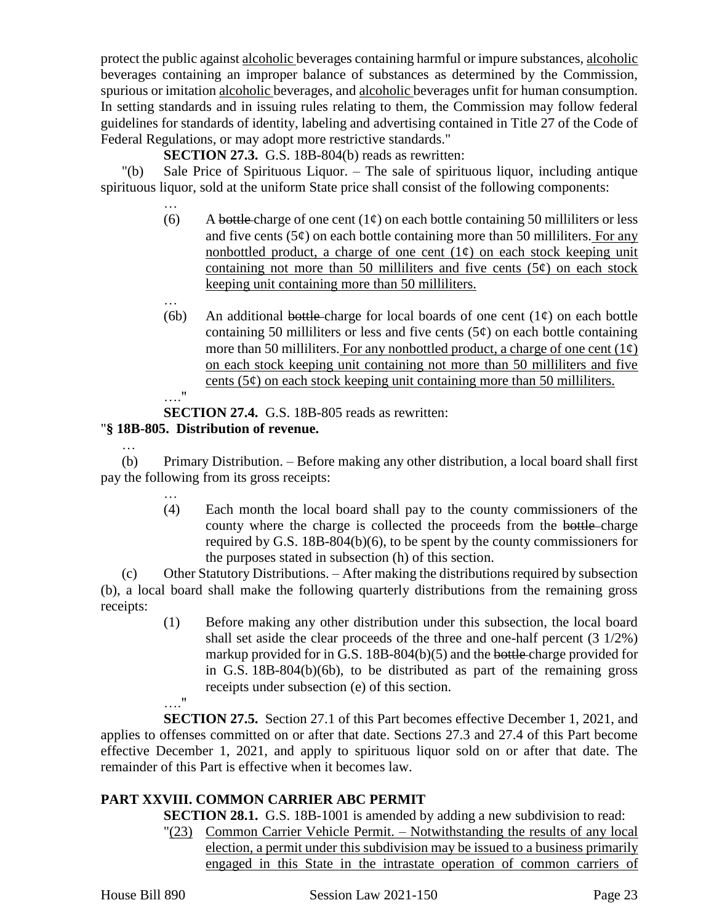protect the public against alcoholic beverages containing harmful or impure substances, alcoholic beverages containing an improper balance of substances as determined by the Commission, spurious or imitation alcoholic beverages, and alcoholic beverages unfit for human consumption. In setting standards and in issuing rules relating to them, the Commission may follow federal guidelines for standards of identity, labeling and advertising contained in Title 27 of the Code of Federal Regulations, or may adopt more restrictive standards."

**SECTION 27.3.** G.S. 18B-804(b) reads as rewritten:

"(b) Sale Price of Spirituous Liquor. – The sale of spirituous liquor, including antique spirituous liquor, sold at the uniform State price shall consist of the following components:

- … (6) A bottle charge of one cent  $(1¢)$  on each bottle containing 50 milliliters or less and five cents  $(5¢)$  on each bottle containing more than 50 milliliters. For any nonbottled product, a charge of one cent  $(1\ell)$  on each stock keeping unit containing not more than 50 milliliters and five cents  $(5¢)$  on each stock keeping unit containing more than 50 milliliters.
- (6b) An additional bottle charge for local boards of one cent  $(1\psi)$  on each bottle containing 50 milliliters or less and five cents  $(5¢)$  on each bottle containing more than 50 milliliters. For any nonbottled product, a charge of one cent  $(1\phi)$ on each stock keeping unit containing not more than 50 milliliters and five cents ( $5¢$ ) on each stock keeping unit containing more than 50 milliliters. …."

**SECTION 27.4.** G.S. 18B-805 reads as rewritten: "**§ 18B-805. Distribution of revenue.**

…

…

(b) Primary Distribution. – Before making any other distribution, a local board shall first pay the following from its gross receipts:

> (4) Each month the local board shall pay to the county commissioners of the county where the charge is collected the proceeds from the bottle charge required by G.S. 18B-804(b)(6), to be spent by the county commissioners for the purposes stated in subsection (h) of this section.

(c) Other Statutory Distributions. – After making the distributions required by subsection (b), a local board shall make the following quarterly distributions from the remaining gross receipts:

(1) Before making any other distribution under this subsection, the local board shall set aside the clear proceeds of the three and one-half percent (3 1/2%) markup provided for in G.S. 18B-804(b)(5) and the bottle charge provided for in G.S. 18B-804(b)(6b), to be distributed as part of the remaining gross receipts under subsection (e) of this section. …."

**SECTION 27.5.** Section 27.1 of this Part becomes effective December 1, 2021, and applies to offenses committed on or after that date. Sections 27.3 and 27.4 of this Part become effective December 1, 2021, and apply to spirituous liquor sold on or after that date. The remainder of this Part is effective when it becomes law.

# **PART XXVIII. COMMON CARRIER ABC PERMIT**

**SECTION 28.1.** G.S. 18B-1001 is amended by adding a new subdivision to read:

"(23) Common Carrier Vehicle Permit. – Notwithstanding the results of any local election, a permit under this subdivision may be issued to a business primarily engaged in this State in the intrastate operation of common carriers of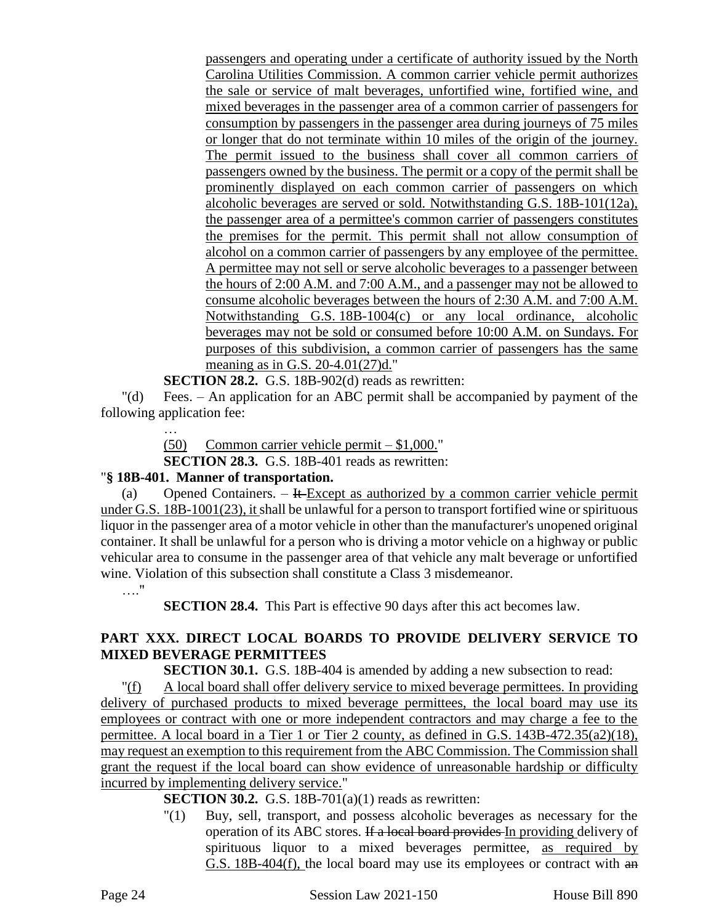passengers and operating under a certificate of authority issued by the North Carolina Utilities Commission. A common carrier vehicle permit authorizes the sale or service of malt beverages, unfortified wine, fortified wine, and mixed beverages in the passenger area of a common carrier of passengers for consumption by passengers in the passenger area during journeys of 75 miles or longer that do not terminate within 10 miles of the origin of the journey. The permit issued to the business shall cover all common carriers of passengers owned by the business. The permit or a copy of the permit shall be prominently displayed on each common carrier of passengers on which alcoholic beverages are served or sold. Notwithstanding G.S. 18B-101(12a), the passenger area of a permittee's common carrier of passengers constitutes the premises for the permit. This permit shall not allow consumption of alcohol on a common carrier of passengers by any employee of the permittee. A permittee may not sell or serve alcoholic beverages to a passenger between the hours of 2:00 A.M. and 7:00 A.M., and a passenger may not be allowed to consume alcoholic beverages between the hours of 2:30 A.M. and 7:00 A.M. Notwithstanding G.S. 18B-1004(c) or any local ordinance, alcoholic beverages may not be sold or consumed before 10:00 A.M. on Sundays. For purposes of this subdivision, a common carrier of passengers has the same meaning as in G.S. 20-4.01(27)d."

**SECTION 28.2.** G.S. 18B-902(d) reads as rewritten:

"(d) Fees. – An application for an ABC permit shall be accompanied by payment of the following application fee:

…

(50) Common carrier vehicle permit – \$1,000."

**SECTION 28.3.** G.S. 18B-401 reads as rewritten:

# "**§ 18B-401. Manner of transportation.**

(a) Opened Containers.  $-$  It-Except as authorized by a common carrier vehicle permit under G.S. 18B-1001(23), it shall be unlawful for a person to transport fortified wine or spirituous liquor in the passenger area of a motor vehicle in other than the manufacturer's unopened original container. It shall be unlawful for a person who is driving a motor vehicle on a highway or public vehicular area to consume in the passenger area of that vehicle any malt beverage or unfortified wine. Violation of this subsection shall constitute a Class 3 misdemeanor.

…."

**SECTION 28.4.** This Part is effective 90 days after this act becomes law.

# **PART XXX. DIRECT LOCAL BOARDS TO PROVIDE DELIVERY SERVICE TO MIXED BEVERAGE PERMITTEES**

**SECTION 30.1.** G.S. 18B-404 is amended by adding a new subsection to read:

"(f) A local board shall offer delivery service to mixed beverage permittees. In providing delivery of purchased products to mixed beverage permittees, the local board may use its employees or contract with one or more independent contractors and may charge a fee to the permittee. A local board in a Tier 1 or Tier 2 county, as defined in G.S. 143B-472.35(a2)(18), may request an exemption to this requirement from the ABC Commission. The Commission shall grant the request if the local board can show evidence of unreasonable hardship or difficulty incurred by implementing delivery service."

# **SECTION 30.2.** G.S. 18B-701(a)(1) reads as rewritten:

"(1) Buy, sell, transport, and possess alcoholic beverages as necessary for the operation of its ABC stores. If a local board provides In providing delivery of spirituous liquor to a mixed beverages permittee, as required by G.S. 18B-404(f), the local board may use its employees or contract with an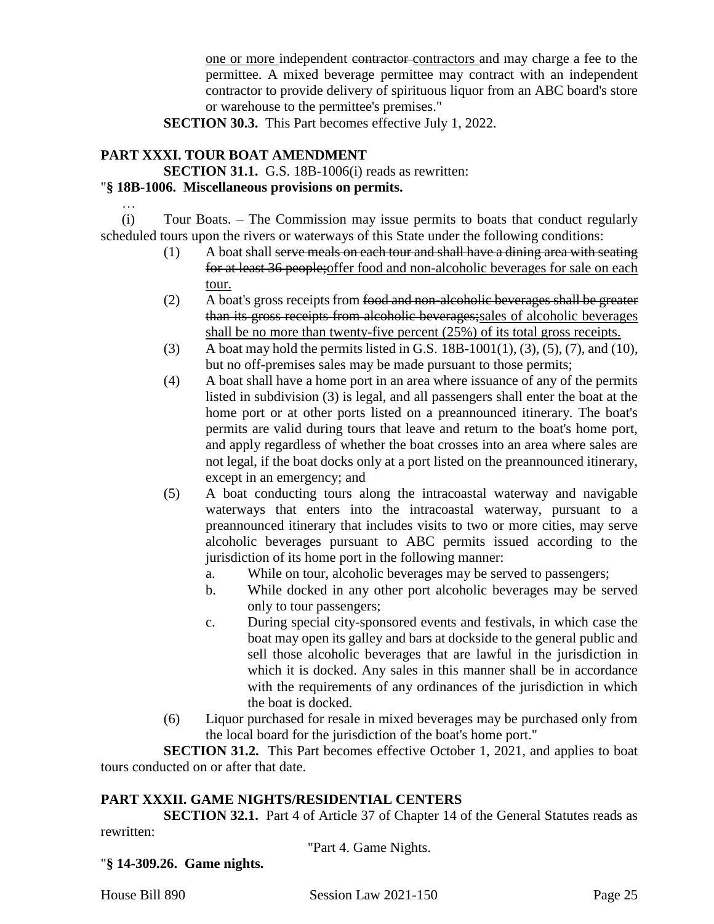one or more independent contractor contractors and may charge a fee to the permittee. A mixed beverage permittee may contract with an independent contractor to provide delivery of spirituous liquor from an ABC board's store or warehouse to the permittee's premises."

**SECTION 30.3.** This Part becomes effective July 1, 2022.

# **PART XXXI. TOUR BOAT AMENDMENT**

…

**SECTION 31.1.** G.S. 18B-1006(i) reads as rewritten:

# "**§ 18B-1006. Miscellaneous provisions on permits.**

(i) Tour Boats. – The Commission may issue permits to boats that conduct regularly scheduled tours upon the rivers or waterways of this State under the following conditions:

- (1) A boat shall serve meals on each tour and shall have a dining area with seating for at least 36 people;offer food and non-alcoholic beverages for sale on each tour.
- (2) A boat's gross receipts from food and non-alcoholic beverages shall be greater than its gross receipts from alcoholic beverages;sales of alcoholic beverages shall be no more than twenty-five percent (25%) of its total gross receipts.
- (3) A boat may hold the permits listed in G.S. 18B-1001(1), (3), (5), (7), and (10), but no off-premises sales may be made pursuant to those permits;
- (4) A boat shall have a home port in an area where issuance of any of the permits listed in subdivision (3) is legal, and all passengers shall enter the boat at the home port or at other ports listed on a preannounced itinerary. The boat's permits are valid during tours that leave and return to the boat's home port, and apply regardless of whether the boat crosses into an area where sales are not legal, if the boat docks only at a port listed on the preannounced itinerary, except in an emergency; and
- (5) A boat conducting tours along the intracoastal waterway and navigable waterways that enters into the intracoastal waterway, pursuant to a preannounced itinerary that includes visits to two or more cities, may serve alcoholic beverages pursuant to ABC permits issued according to the jurisdiction of its home port in the following manner:
	- a. While on tour, alcoholic beverages may be served to passengers;
	- b. While docked in any other port alcoholic beverages may be served only to tour passengers;
	- c. During special city-sponsored events and festivals, in which case the boat may open its galley and bars at dockside to the general public and sell those alcoholic beverages that are lawful in the jurisdiction in which it is docked. Any sales in this manner shall be in accordance with the requirements of any ordinances of the jurisdiction in which the boat is docked.
- (6) Liquor purchased for resale in mixed beverages may be purchased only from the local board for the jurisdiction of the boat's home port."

**SECTION 31.2.** This Part becomes effective October 1, 2021, and applies to boat tours conducted on or after that date.

# **PART XXXII. GAME NIGHTS/RESIDENTIAL CENTERS**

**SECTION 32.1.** Part 4 of Article 37 of Chapter 14 of the General Statutes reads as rewritten:

"Part 4. Game Nights.

"**§ 14-309.26. Game nights.**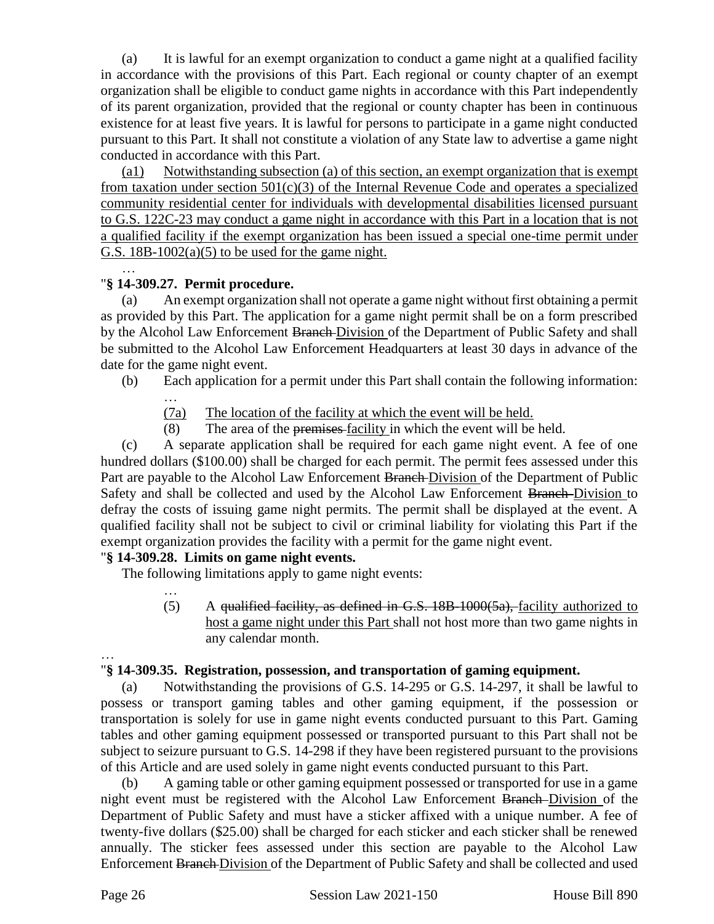(a) It is lawful for an exempt organization to conduct a game night at a qualified facility in accordance with the provisions of this Part. Each regional or county chapter of an exempt organization shall be eligible to conduct game nights in accordance with this Part independently of its parent organization, provided that the regional or county chapter has been in continuous existence for at least five years. It is lawful for persons to participate in a game night conducted pursuant to this Part. It shall not constitute a violation of any State law to advertise a game night conducted in accordance with this Part.

(a1) Notwithstanding subsection (a) of this section, an exempt organization that is exempt from taxation under section  $501(c)(3)$  of the Internal Revenue Code and operates a specialized community residential center for individuals with developmental disabilities licensed pursuant to G.S. 122C-23 may conduct a game night in accordance with this Part in a location that is not a qualified facility if the exempt organization has been issued a special one-time permit under G.S.  $18B-1002(a)(5)$  to be used for the game night.

#### … "**§ 14-309.27. Permit procedure.**

(a) An exempt organization shall not operate a game night without first obtaining a permit as provided by this Part. The application for a game night permit shall be on a form prescribed by the Alcohol Law Enforcement Branch Division of the Department of Public Safety and shall be submitted to the Alcohol Law Enforcement Headquarters at least 30 days in advance of the date for the game night event.

- (b) Each application for a permit under this Part shall contain the following information:
	- …
		- (7a) The location of the facility at which the event will be held.
		- (8) The area of the premises facility in which the event will be held.

(c) A separate application shall be required for each game night event. A fee of one hundred dollars (\$100.00) shall be charged for each permit. The permit fees assessed under this Part are payable to the Alcohol Law Enforcement Branch-Division of the Department of Public Safety and shall be collected and used by the Alcohol Law Enforcement Branch Division to defray the costs of issuing game night permits. The permit shall be displayed at the event. A qualified facility shall not be subject to civil or criminal liability for violating this Part if the exempt organization provides the facility with a permit for the game night event.

#### "**§ 14-309.28. Limits on game night events.**

The following limitations apply to game night events:

…  $(5)$  A qualified facility, as defined in G.S. 18B-1000(5a), facility authorized to host a game night under this Part shall not host more than two game nights in any calendar month.

#### … "**§ 14-309.35. Registration, possession, and transportation of gaming equipment.**

(a) Notwithstanding the provisions of G.S. 14-295 or G.S. 14-297, it shall be lawful to possess or transport gaming tables and other gaming equipment, if the possession or transportation is solely for use in game night events conducted pursuant to this Part. Gaming tables and other gaming equipment possessed or transported pursuant to this Part shall not be subject to seizure pursuant to G.S. 14-298 if they have been registered pursuant to the provisions of this Article and are used solely in game night events conducted pursuant to this Part.

(b) A gaming table or other gaming equipment possessed or transported for use in a game night event must be registered with the Alcohol Law Enforcement Branch Division of the Department of Public Safety and must have a sticker affixed with a unique number. A fee of twenty-five dollars (\$25.00) shall be charged for each sticker and each sticker shall be renewed annually. The sticker fees assessed under this section are payable to the Alcohol Law Enforcement Branch Division of the Department of Public Safety and shall be collected and used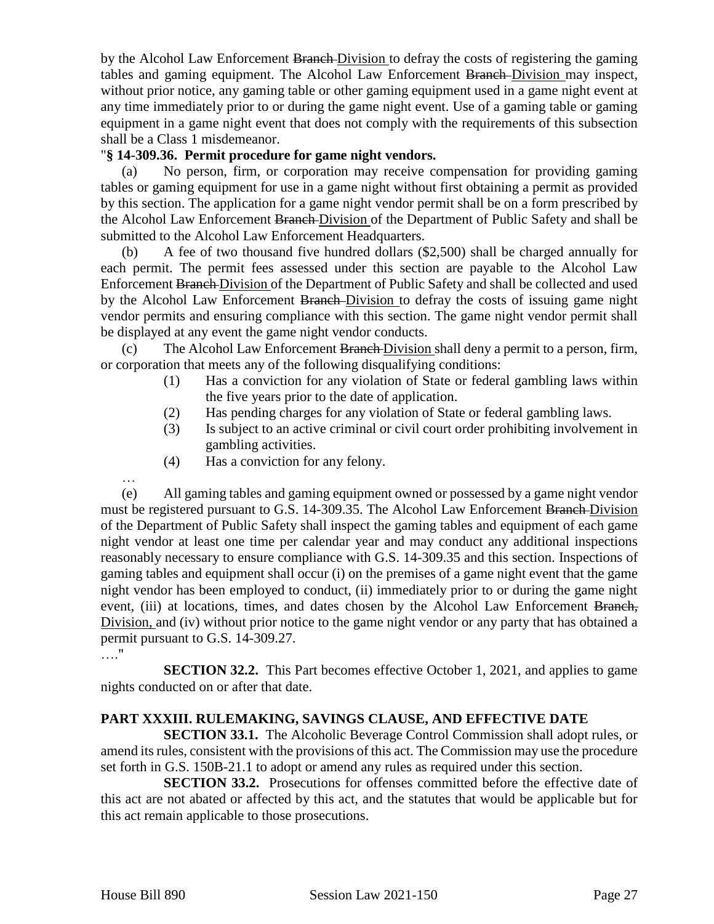by the Alcohol Law Enforcement Branch Division to defray the costs of registering the gaming tables and gaming equipment. The Alcohol Law Enforcement Branch Division may inspect, without prior notice, any gaming table or other gaming equipment used in a game night event at any time immediately prior to or during the game night event. Use of a gaming table or gaming equipment in a game night event that does not comply with the requirements of this subsection shall be a Class 1 misdemeanor.

#### "**§ 14-309.36. Permit procedure for game night vendors.**

(a) No person, firm, or corporation may receive compensation for providing gaming tables or gaming equipment for use in a game night without first obtaining a permit as provided by this section. The application for a game night vendor permit shall be on a form prescribed by the Alcohol Law Enforcement Branch Division of the Department of Public Safety and shall be submitted to the Alcohol Law Enforcement Headquarters.

(b) A fee of two thousand five hundred dollars (\$2,500) shall be charged annually for each permit. The permit fees assessed under this section are payable to the Alcohol Law Enforcement Branch Division of the Department of Public Safety and shall be collected and used by the Alcohol Law Enforcement Branch-Division to defray the costs of issuing game night vendor permits and ensuring compliance with this section. The game night vendor permit shall be displayed at any event the game night vendor conducts.

(c) The Alcohol Law Enforcement Branch Division shall deny a permit to a person, firm, or corporation that meets any of the following disqualifying conditions:

- (1) Has a conviction for any violation of State or federal gambling laws within the five years prior to the date of application.
- (2) Has pending charges for any violation of State or federal gambling laws.
- (3) Is subject to an active criminal or civil court order prohibiting involvement in gambling activities.
- (4) Has a conviction for any felony.

…

(e) All gaming tables and gaming equipment owned or possessed by a game night vendor must be registered pursuant to G.S. 14-309.35. The Alcohol Law Enforcement Branch Division of the Department of Public Safety shall inspect the gaming tables and equipment of each game night vendor at least one time per calendar year and may conduct any additional inspections reasonably necessary to ensure compliance with G.S. 14-309.35 and this section. Inspections of gaming tables and equipment shall occur (i) on the premises of a game night event that the game night vendor has been employed to conduct, (ii) immediately prior to or during the game night event, (iii) at locations, times, and dates chosen by the Alcohol Law Enforcement Branch, Division, and (iv) without prior notice to the game night vendor or any party that has obtained a permit pursuant to G.S. 14-309.27.

…."

**SECTION 32.2.** This Part becomes effective October 1, 2021, and applies to game nights conducted on or after that date.

# **PART XXXIII. RULEMAKING, SAVINGS CLAUSE, AND EFFECTIVE DATE**

**SECTION 33.1.** The Alcoholic Beverage Control Commission shall adopt rules, or amend its rules, consistent with the provisions of this act. The Commission may use the procedure set forth in G.S. 150B-21.1 to adopt or amend any rules as required under this section.

**SECTION 33.2.** Prosecutions for offenses committed before the effective date of this act are not abated or affected by this act, and the statutes that would be applicable but for this act remain applicable to those prosecutions.